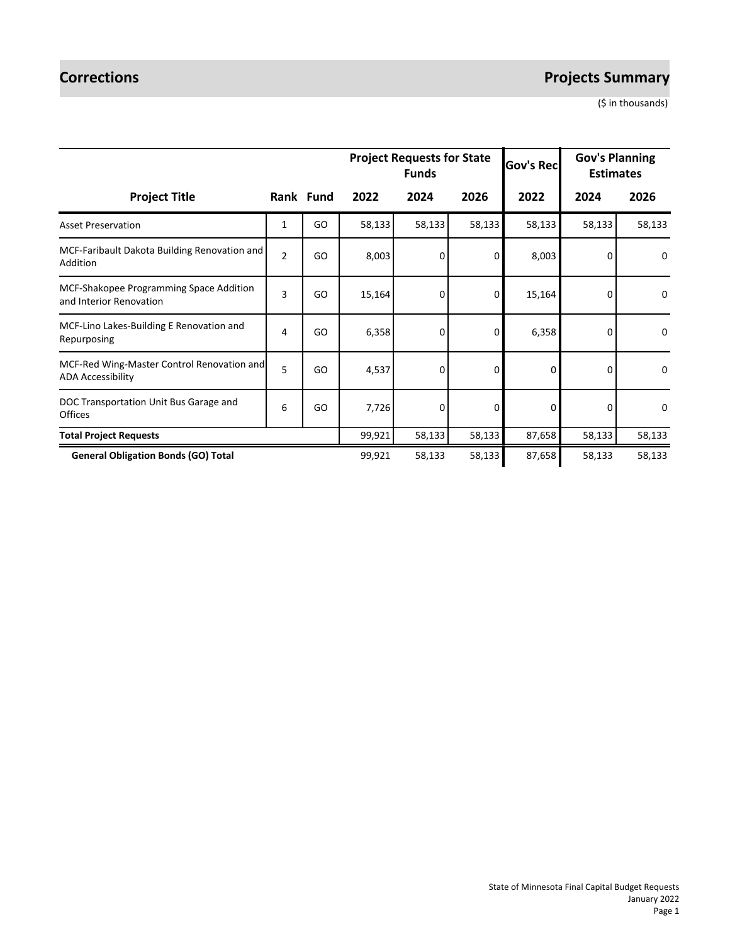# **Corrections** *Projects Summary*

(\$ in thousands)

|                                                                        |                |           |        | <b>Project Requests for State</b><br><b>Funds</b> |                | <b>Gov's Rec</b> | <b>Gov's Planning</b><br><b>Estimates</b> |             |
|------------------------------------------------------------------------|----------------|-----------|--------|---------------------------------------------------|----------------|------------------|-------------------------------------------|-------------|
| <b>Project Title</b>                                                   |                | Rank Fund | 2022   | 2024                                              | 2026           | 2022             | 2024                                      | 2026        |
| <b>Asset Preservation</b>                                              | 1              | GO        | 58,133 | 58,133                                            | 58,133         | 58,133           | 58,133                                    | 58,133      |
| MCF-Faribault Dakota Building Renovation and<br>Addition               | $\overline{2}$ | GO        | 8,003  | 0                                                 | 0              | 8,003            | 0                                         | 0           |
| MCF-Shakopee Programming Space Addition<br>and Interior Renovation     | 3              | GO        | 15,164 | 0                                                 | 0              | 15,164           | 0                                         | $\mathbf 0$ |
| MCF-Lino Lakes-Building E Renovation and<br>Repurposing                | 4              | GO        | 6,358  | 0                                                 | $\overline{0}$ | 6,358            | 0                                         | 0           |
| MCF-Red Wing-Master Control Renovation and<br><b>ADA Accessibility</b> | 5              | GO        | 4,537  | 0                                                 | 0              | 0                | $\Omega$                                  | $\mathbf 0$ |
| DOC Transportation Unit Bus Garage and<br><b>Offices</b>               | 6              | GO        | 7,726  | 0                                                 | 0              | 0                | $\Omega$                                  | 0           |
| <b>Total Project Requests</b>                                          |                |           | 99,921 | 58,133                                            | 58,133         | 87,658           | 58,133                                    | 58,133      |
| <b>General Obligation Bonds (GO) Total</b>                             |                |           | 99,921 | 58,133                                            | 58,133         | 87,658           | 58,133                                    | 58,133      |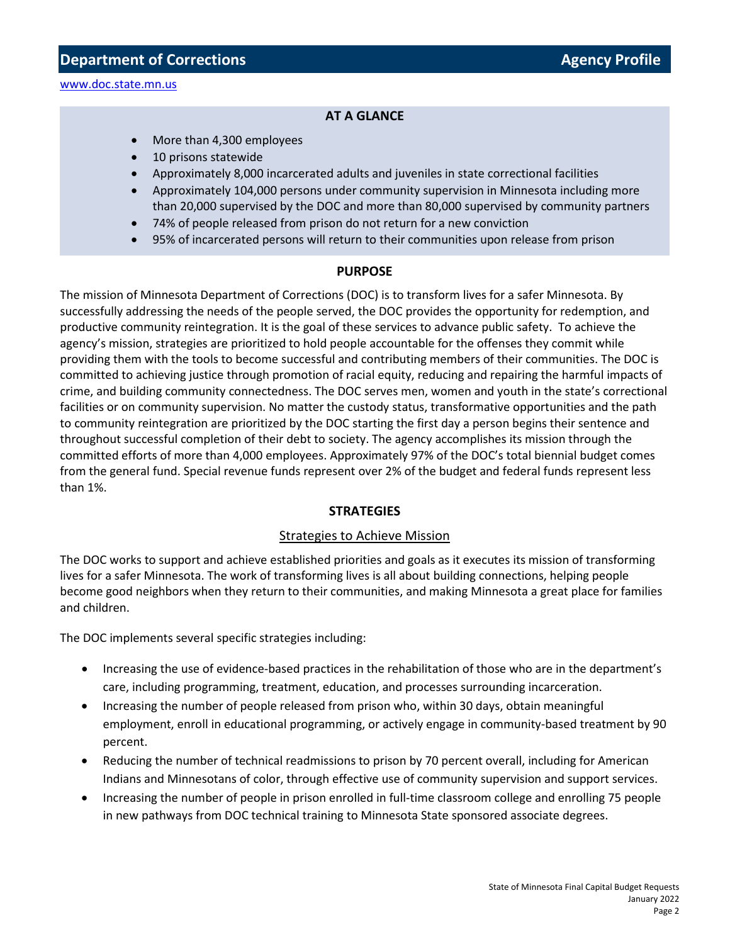### **AT A GLANCE**

- More than 4,300 employees
- 10 prisons statewide
- Approximately 8,000 incarcerated adults and juveniles in state correctional facilities
- Approximately 104,000 persons under community supervision in Minnesota including more than 20,000 supervised by the DOC and more than 80,000 supervised by community partners
- 74% of people released from prison do not return for a new conviction
- 95% of incarcerated persons will return to their communities upon release from prison

#### **PURPOSE**

The mission of Minnesota Department of Corrections (DOC) is to transform lives for a safer Minnesota. By successfully addressing the needs of the people served, the DOC provides the opportunity for redemption, and productive community reintegration. It is the goal of these services to advance public safety. To achieve the agency's mission, strategies are prioritized to hold people accountable for the offenses they commit while providing them with the tools to become successful and contributing members of their communities. The DOC is committed to achieving justice through promotion of racial equity, reducing and repairing the harmful impacts of crime, and building community connectedness. The DOC serves men, women and youth in the state's correctional facilities or on community supervision. No matter the custody status, transformative opportunities and the path to community reintegration are prioritized by the DOC starting the first day a person begins their sentence and throughout successful completion of their debt to society. The agency accomplishes its mission through the committed efforts of more than 4,000 employees. Approximately 97% of the DOC's total biennial budget comes from the general fund. Special revenue funds represent over 2% of the budget and federal funds represent less than 1%.

#### **STRATEGIES**

#### Strategies to Achieve Mission

The DOC works to support and achieve established priorities and goals as it executes its mission of transforming lives for a safer Minnesota. The work of transforming lives is all about building connections, helping people become good neighbors when they return to their communities, and making Minnesota a great place for families and children.

The DOC implements several specific strategies including:

- Increasing the use of evidence-based practices in the rehabilitation of those who are in the department's care, including programming, treatment, education, and processes surrounding incarceration.
- Increasing the number of people released from prison who, within 30 days, obtain meaningful employment, enroll in educational programming, or actively engage in community-based treatment by 90 percent.
- Reducing the number of technical readmissions to prison by 70 percent overall, including for American Indians and Minnesotans of color, through effective use of community supervision and support services.
- Increasing the number of people in prison enrolled in full-time classroom college and enrolling 75 people in new pathways from DOC technical training to Minnesota State sponsored associate degrees.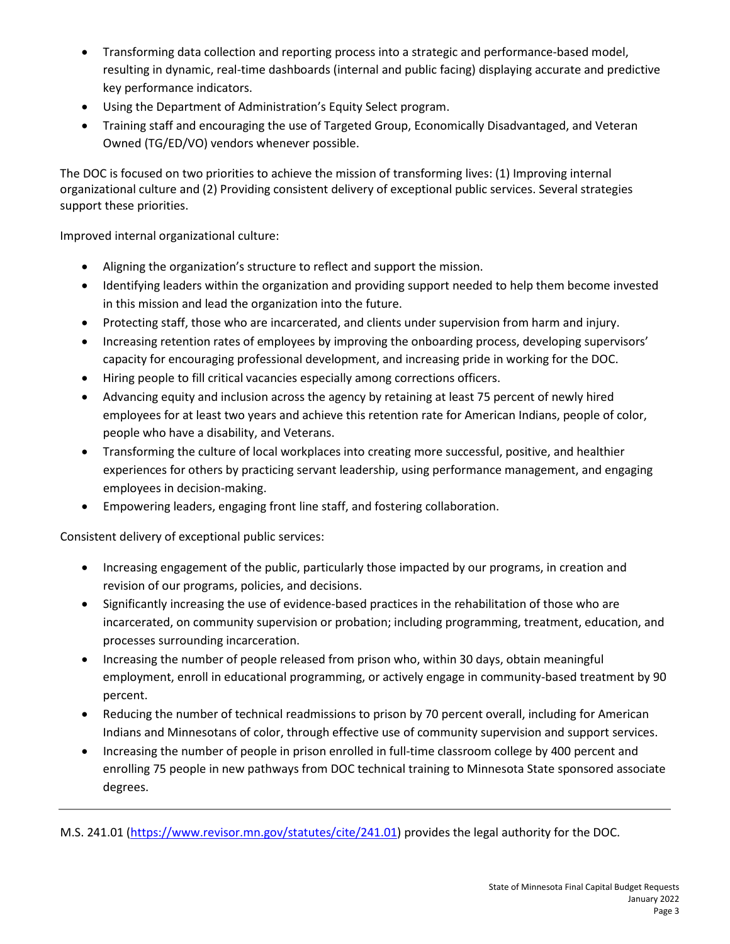- Transforming data collection and reporting process into a strategic and performance-based model, resulting in dynamic, real-time dashboards (internal and public facing) displaying accurate and predictive key performance indicators.
- Using the Department of Administration's Equity Select program.
- Training staff and encouraging the use of Targeted Group, Economically Disadvantaged, and Veteran Owned (TG/ED/VO) vendors whenever possible.

The DOC is focused on two priorities to achieve the mission of transforming lives: (1) Improving internal organizational culture and (2) Providing consistent delivery of exceptional public services. Several strategies support these priorities.

Improved internal organizational culture:

- Aligning the organization's structure to reflect and support the mission.
- Identifying leaders within the organization and providing support needed to help them become invested in this mission and lead the organization into the future.
- Protecting staff, those who are incarcerated, and clients under supervision from harm and injury.
- Increasing retention rates of employees by improving the onboarding process, developing supervisors' capacity for encouraging professional development, and increasing pride in working for the DOC.
- Hiring people to fill critical vacancies especially among corrections officers.
- Advancing equity and inclusion across the agency by retaining at least 75 percent of newly hired employees for at least two years and achieve this retention rate for American Indians, people of color, people who have a disability, and Veterans.
- Transforming the culture of local workplaces into creating more successful, positive, and healthier experiences for others by practicing servant leadership, using performance management, and engaging employees in decision-making.
- Empowering leaders, engaging front line staff, and fostering collaboration.

Consistent delivery of exceptional public services:

- Increasing engagement of the public, particularly those impacted by our programs, in creation and revision of our programs, policies, and decisions.
- Significantly increasing the use of evidence-based practices in the rehabilitation of those who are incarcerated, on community supervision or probation; including programming, treatment, education, and processes surrounding incarceration.
- Increasing the number of people released from prison who, within 30 days, obtain meaningful employment, enroll in educational programming, or actively engage in community-based treatment by 90 percent.
- Reducing the number of technical readmissions to prison by 70 percent overall, including for American Indians and Minnesotans of color, through effective use of community supervision and support services.
- Increasing the number of people in prison enrolled in full-time classroom college by 400 percent and enrolling 75 people in new pathways from DOC technical training to Minnesota State sponsored associate degrees.

M.S. 241.01 [\(https://www.revisor.mn.gov/statutes/cite/241.01\)](https://www.revisor.mn.gov/statutes/?id=16A) provides the legal authority for the DOC.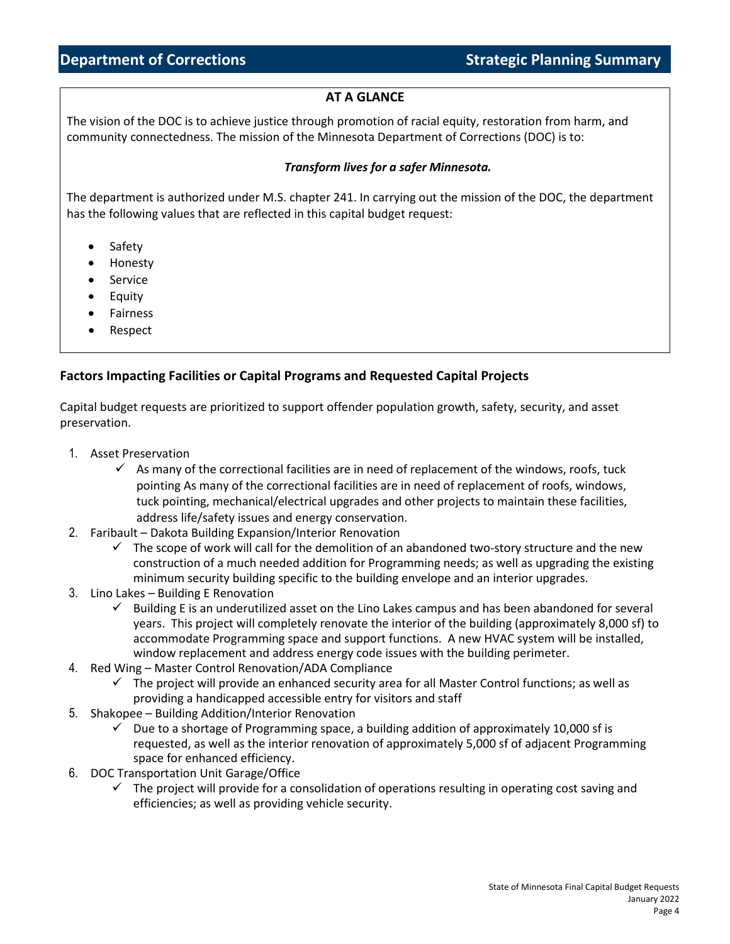# **AT A GLANCE**

The vision of the DOC is to achieve justice through promotion of racial equity, restoration from harm, and community connectedness. The mission of the Minnesota Department of Corrections (DOC) is to:

### *Transform lives for a safer Minnesota.*

The department is authorized under M.S. chapter 241. In carrying out the mission of the DOC, the department has the following values that are reflected in this capital budget request:

- **Safety**
- Honesty
- Service
- Equity
- Fairness
- Respect

### **Factors Impacting Facilities or Capital Programs and Requested Capital Projects**

Capital budget requests are prioritized to support offender population growth, safety, security, and asset preservation.

- 1. Asset Preservation
	- $\checkmark$  As many of the correctional facilities are in need of replacement of the windows, roofs, tuck pointing As many of the correctional facilities are in need of replacement of roofs, windows, tuck pointing, mechanical/electrical upgrades and other projects to maintain these facilities, address life/safety issues and energy conservation.
- 2. Faribault Dakota Building Expansion/Interior Renovation
	- $\checkmark$  The scope of work will call for the demolition of an abandoned two-story structure and the new construction of a much needed addition for Programming needs; as well as upgrading the existing minimum security building specific to the building envelope and an interior upgrades.
- 3. Lino Lakes Building E Renovation
	- $\checkmark$  Building E is an underutilized asset on the Lino Lakes campus and has been abandoned for several years. This project will completely renovate the interior of the building (approximately 8,000 sf) to accommodate Programming space and support functions. A new HVAC system will be installed, window replacement and address energy code issues with the building perimeter.
- 4. Red Wing Master Control Renovation/ADA Compliance
	- $\checkmark$  The project will provide an enhanced security area for all Master Control functions; as well as providing a handicapped accessible entry for visitors and staff
- 5. Shakopee Building Addition/Interior Renovation
	- $\checkmark$  Due to a shortage of Programming space, a building addition of approximately 10,000 sf is requested, as well as the interior renovation of approximately 5,000 sf of adjacent Programming space for enhanced efficiency.
- 6. DOC Transportation Unit Garage/Office
	- $\checkmark$  The project will provide for a consolidation of operations resulting in operating cost saving and efficiencies; as well as providing vehicle security.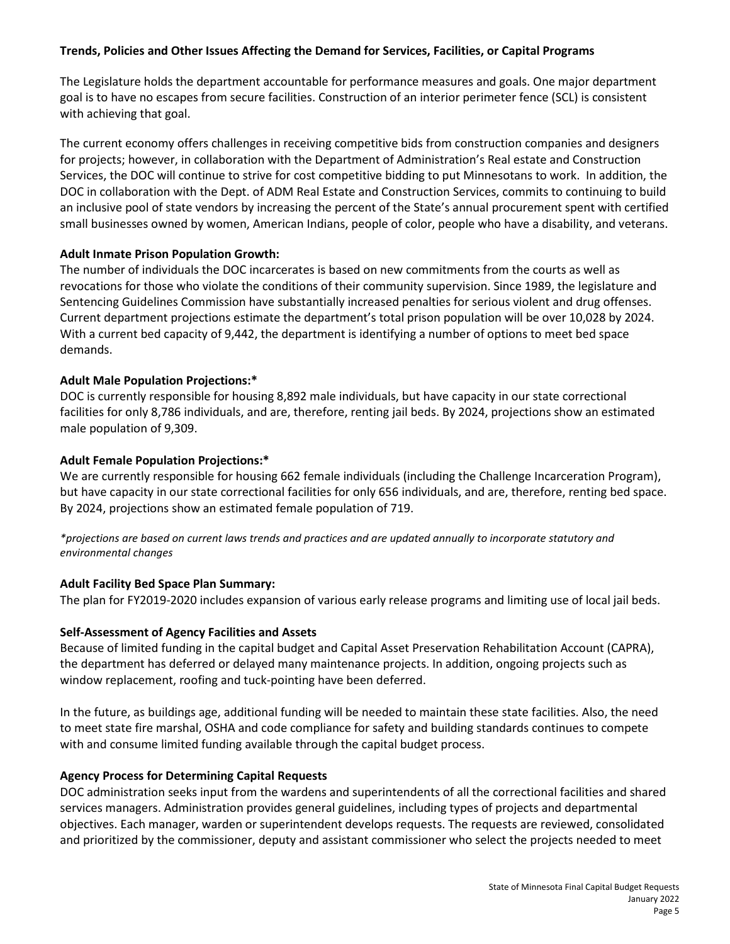## **Trends, Policies and Other Issues Affecting the Demand for Services, Facilities, or Capital Programs**

The Legislature holds the department accountable for performance measures and goals. One major department goal is to have no escapes from secure facilities. Construction of an interior perimeter fence (SCL) is consistent with achieving that goal.

The current economy offers challenges in receiving competitive bids from construction companies and designers for projects; however, in collaboration with the Department of Administration's Real estate and Construction Services, the DOC will continue to strive for cost competitive bidding to put Minnesotans to work. In addition, the DOC in collaboration with the Dept. of ADM Real Estate and Construction Services, commits to continuing to build an inclusive pool of state vendors by increasing the percent of the State's annual procurement spent with certified small businesses owned by women, American Indians, people of color, people who have a disability, and veterans.

#### **Adult Inmate Prison Population Growth:**

The number of individuals the DOC incarcerates is based on new commitments from the courts as well as revocations for those who violate the conditions of their community supervision. Since 1989, the legislature and Sentencing Guidelines Commission have substantially increased penalties for serious violent and drug offenses. Current department projections estimate the department's total prison population will be over 10,028 by 2024. With a current bed capacity of 9,442, the department is identifying a number of options to meet bed space demands.

#### **Adult Male Population Projections:\***

DOC is currently responsible for housing 8,892 male individuals, but have capacity in our state correctional facilities for only 8,786 individuals, and are, therefore, renting jail beds. By 2024, projections show an estimated male population of 9,309.

#### **Adult Female Population Projections:\***

We are currently responsible for housing 662 female individuals (including the Challenge Incarceration Program), but have capacity in our state correctional facilities for only 656 individuals, and are, therefore, renting bed space. By 2024, projections show an estimated female population of 719.

*\*projections are based on current laws trends and practices and are updated annually to incorporate statutory and environmental changes*

#### **Adult Facility Bed Space Plan Summary:**

The plan for FY2019-2020 includes expansion of various early release programs and limiting use of local jail beds.

#### **Self-Assessment of Agency Facilities and Assets**

Because of limited funding in the capital budget and Capital Asset Preservation Rehabilitation Account (CAPRA), the department has deferred or delayed many maintenance projects. In addition, ongoing projects such as window replacement, roofing and tuck-pointing have been deferred.

In the future, as buildings age, additional funding will be needed to maintain these state facilities. Also, the need to meet state fire marshal, OSHA and code compliance for safety and building standards continues to compete with and consume limited funding available through the capital budget process.

#### **Agency Process for Determining Capital Requests**

DOC administration seeks input from the wardens and superintendents of all the correctional facilities and shared services managers. Administration provides general guidelines, including types of projects and departmental objectives. Each manager, warden or superintendent develops requests. The requests are reviewed, consolidated and prioritized by the commissioner, deputy and assistant commissioner who select the projects needed to meet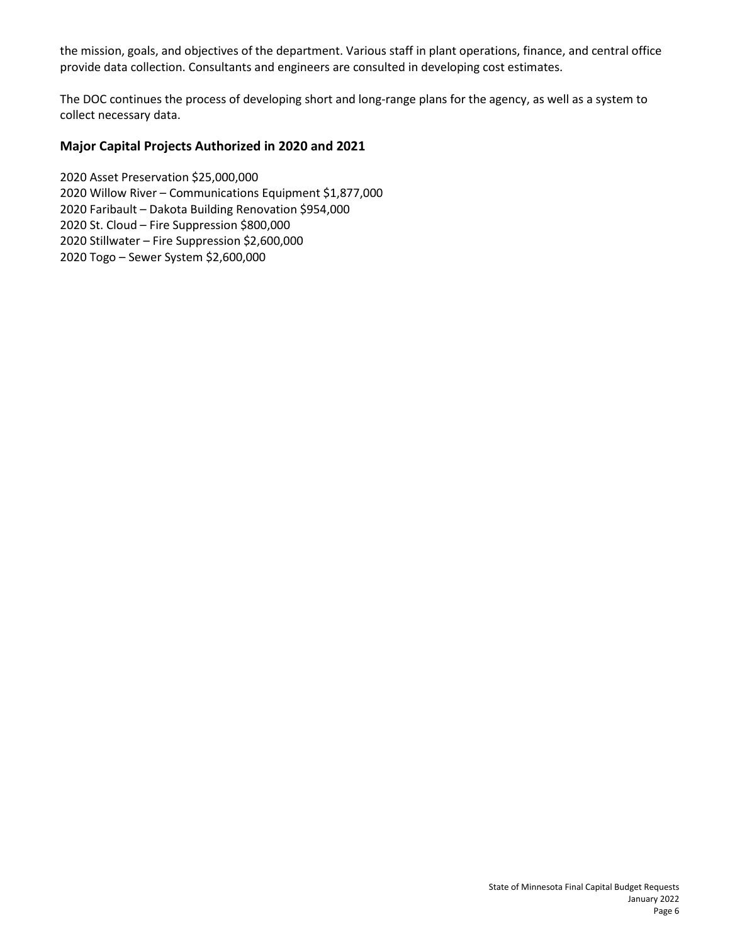the mission, goals, and objectives of the department. Various staff in plant operations, finance, and central office provide data collection. Consultants and engineers are consulted in developing cost estimates.

The DOC continues the process of developing short and long-range plans for the agency, as well as a system to collect necessary data.

## **Major Capital Projects Authorized in 2020 and 2021**

2020 Asset Preservation \$25,000,000 2020 Willow River – Communications Equipment \$1,877,000 2020 Faribault – Dakota Building Renovation \$954,000 2020 St. Cloud – Fire Suppression \$800,000 2020 Stillwater – Fire Suppression \$2,600,000 2020 Togo – Sewer System \$2,600,000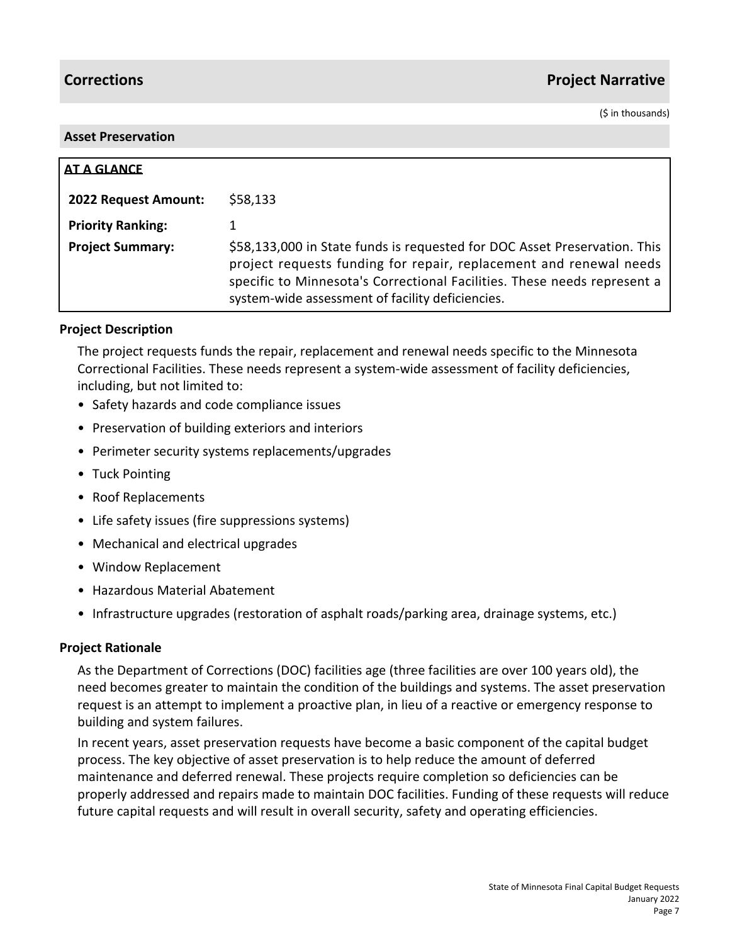# **Corrections Project Narrative**

(\$ in thousands)

### **Asset Preservation**

| AT A GLANCE              |                                                                                                                                                                                                                                                                                 |
|--------------------------|---------------------------------------------------------------------------------------------------------------------------------------------------------------------------------------------------------------------------------------------------------------------------------|
| 2022 Request Amount:     | \$58,133                                                                                                                                                                                                                                                                        |
| <b>Priority Ranking:</b> |                                                                                                                                                                                                                                                                                 |
| <b>Project Summary:</b>  | \$58,133,000 in State funds is requested for DOC Asset Preservation. This<br>project requests funding for repair, replacement and renewal needs<br>specific to Minnesota's Correctional Facilities. These needs represent a<br>system-wide assessment of facility deficiencies. |

# **Project Description**

The project requests funds the repair, replacement and renewal needs specific to the Minnesota Correctional Facilities. These needs represent a system-wide assessment of facility deficiencies, including, but not limited to:

- Safety hazards and code compliance issues
- Preservation of building exteriors and interiors
- Perimeter security systems replacements/upgrades
- Tuck Pointing
- Roof Replacements
- Life safety issues (fire suppressions systems)
- Mechanical and electrical upgrades
- Window Replacement
- Hazardous Material Abatement
- Infrastructure upgrades (restoration of asphalt roads/parking area, drainage systems, etc.)

# **Project Rationale**

As the Department of Corrections (DOC) facilities age (three facilities are over 100 years old), the need becomes greater to maintain the condition of the buildings and systems. The asset preservation request is an attempt to implement a proactive plan, in lieu of a reactive or emergency response to building and system failures.

In recent years, asset preservation requests have become a basic component of the capital budget process. The key objective of asset preservation is to help reduce the amount of deferred maintenance and deferred renewal. These projects require completion so deficiencies can be properly addressed and repairs made to maintain DOC facilities. Funding of these requests will reduce future capital requests and will result in overall security, safety and operating efficiencies.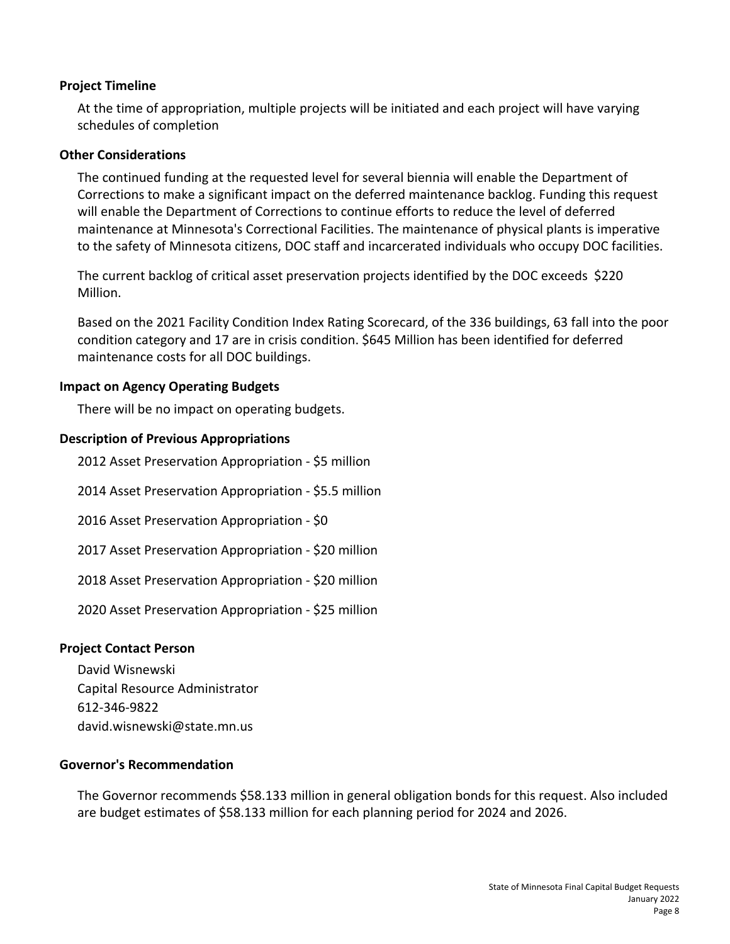# **Project Timeline**

At the time of appropriation, multiple projects will be initiated and each project will have varying schedules of completion

# **Other Considerations**

The continued funding at the requested level for several biennia will enable the Department of Corrections to make a significant impact on the deferred maintenance backlog. Funding this request will enable the Department of Corrections to continue efforts to reduce the level of deferred maintenance at Minnesota's Correctional Facilities. The maintenance of physical plants is imperative to the safety of Minnesota citizens, DOC staff and incarcerated individuals who occupy DOC facilities.

The current backlog of critical asset preservation projects identified by the DOC exceeds \$220 Million.

Based on the 2021 Facility Condition Index Rating Scorecard, of the 336 buildings, 63 fall into the poor condition category and 17 are in crisis condition. \$645 Million has been identified for deferred maintenance costs for all DOC buildings.

# **Impact on Agency Operating Budgets**

There will be no impact on operating budgets.

# **Description of Previous Appropriations**

2012 Asset Preservation Appropriation - \$5 million

2014 Asset Preservation Appropriation - \$5.5 million

2016 Asset Preservation Appropriation - \$0

2017 Asset Preservation Appropriation - \$20 million

2018 Asset Preservation Appropriation - \$20 million

2020 Asset Preservation Appropriation - \$25 million

# **Project Contact Person**

David Wisnewski Capital Resource Administrator 612-346-9822 david.wisnewski@state.mn.us

# **Governor's Recommendation**

The Governor recommends \$58.133 million in general obligation bonds for this request. Also included are budget estimates of \$58.133 million for each planning period for 2024 and 2026.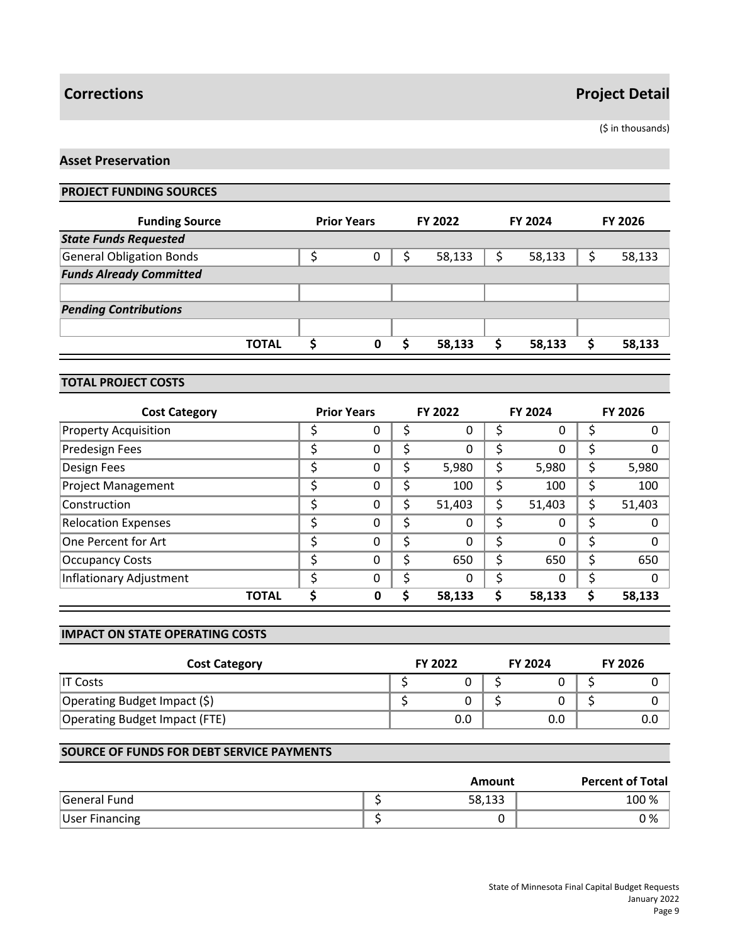(\$ in thousands)

## **Asset Preservation**

### **PROJECT FUNDING SOURCES**

| <b>Funding Source</b>           | <b>Prior Years</b> | FY 2022 |   | <b>FY 2024</b> | <b>FY 2026</b> |
|---------------------------------|--------------------|---------|---|----------------|----------------|
| <b>State Funds Requested</b>    |                    |         |   |                |                |
| <b>General Obligation Bonds</b> | 0                  | 58,133  |   | 58,133         | 58,133         |
| <b>Funds Already Committed</b>  |                    |         |   |                |                |
|                                 |                    |         |   |                |                |
| <b>Pending Contributions</b>    |                    |         |   |                |                |
|                                 |                    |         |   |                |                |
| <b>TOTAL</b>                    | 0                  | 58,133  | S | 58,133         | 58,133         |

### **TOTAL PROJECT COSTS**

| <b>Cost Category</b>        |    | <b>Prior Years</b> |    | <b>FY 2022</b> |    | <b>FY 2024</b> | <b>FY 2026</b> |
|-----------------------------|----|--------------------|----|----------------|----|----------------|----------------|
| <b>Property Acquisition</b> |    | 0                  | Ş  | 0              |    | 0              | 0              |
| Predesign Fees              |    | 0                  | \$ | 0              |    | 0              | \$<br>0        |
| Design Fees                 |    | 0                  | \$ | 5,980          | \$ | 5,980          | \$<br>5,980    |
| <b>Project Management</b>   |    | 0                  | \$ | 100            |    | 100            | 100            |
| Construction                | c  | 0                  | \$ | 51,403         | \$ | 51,403         | \$<br>51,403   |
| <b>Relocation Expenses</b>  |    | 0                  | \$ | 0              | Ś  | 0              | \$<br>0        |
| One Percent for Art         | \$ | $\Omega$           | \$ | 0              | \$ | 0              | \$<br>$\Omega$ |
| <b>Occupancy Costs</b>      |    | 0                  | \$ | 650            | \$ | 650            | 650            |
| Inflationary Adjustment     |    | $\Omega$           | \$ | 0              |    | 0              | $\Omega$       |
| <b>TOTAL</b>                |    | $\mathbf 0$        | S  | 58,133         | \$ | 58,133         | 58,133         |

#### **IMPACT ON STATE OPERATING COSTS**

| <b>Cost Category</b>          | <b>FY 2022</b> | <b>FY 2024</b> | <b>FY 2026</b> |
|-------------------------------|----------------|----------------|----------------|
| IT Costs                      |                |                |                |
| Operating Budget Impact (\$)  |                |                |                |
| Operating Budget Impact (FTE) | 0.0            | 0.0            | 0.0            |

|                       | Amount | <b>Percent of Total</b> |
|-----------------------|--------|-------------------------|
| General Fund          | 58,133 | 100 %                   |
| <b>User Financing</b> |        | 0 %                     |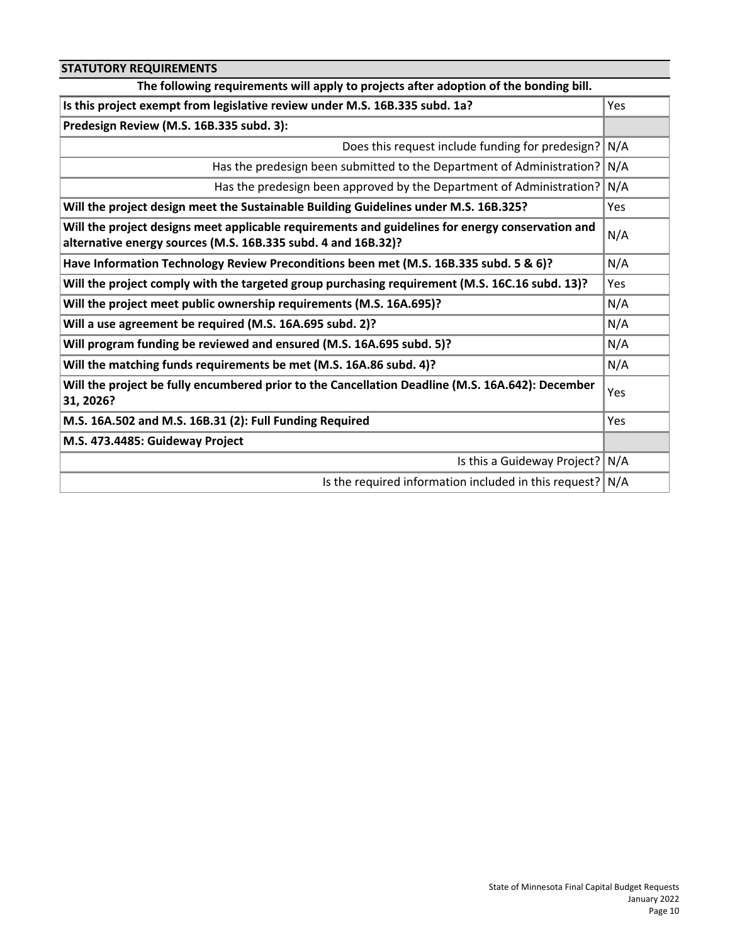| <b>STATUTORY REQUIREMENTS</b>                                                                                                                                     |            |
|-------------------------------------------------------------------------------------------------------------------------------------------------------------------|------------|
| The following requirements will apply to projects after adoption of the bonding bill.                                                                             |            |
| Is this project exempt from legislative review under M.S. 16B.335 subd. 1a?                                                                                       | Yes        |
| Predesign Review (M.S. 16B.335 subd. 3):                                                                                                                          |            |
| Does this request include funding for predesign?                                                                                                                  | N/A        |
| Has the predesign been submitted to the Department of Administration? N/A                                                                                         |            |
| Has the predesign been approved by the Department of Administration?                                                                                              | N/A        |
| Will the project design meet the Sustainable Building Guidelines under M.S. 16B.325?                                                                              | <b>Yes</b> |
| Will the project designs meet applicable requirements and guidelines for energy conservation and<br>alternative energy sources (M.S. 16B.335 subd. 4 and 16B.32)? | N/A        |
| Have Information Technology Review Preconditions been met (M.S. 16B.335 subd. 5 & 6)?                                                                             | N/A        |
| Will the project comply with the targeted group purchasing requirement (M.S. 16C.16 subd. 13)?                                                                    | Yes        |
| Will the project meet public ownership requirements (M.S. 16A.695)?                                                                                               | N/A        |
| Will a use agreement be required (M.S. 16A.695 subd. 2)?                                                                                                          | N/A        |
| Will program funding be reviewed and ensured (M.S. 16A.695 subd. 5)?                                                                                              | N/A        |
| Will the matching funds requirements be met (M.S. 16A.86 subd. 4)?                                                                                                | N/A        |
| Will the project be fully encumbered prior to the Cancellation Deadline (M.S. 16A.642): December<br>31, 2026?                                                     | Yes        |
| M.S. 16A.502 and M.S. 16B.31 (2): Full Funding Required                                                                                                           | Yes        |
| M.S. 473.4485: Guideway Project                                                                                                                                   |            |
| Is this a Guideway Project?                                                                                                                                       | N/A        |
| Is the required information included in this request? $N/A$                                                                                                       |            |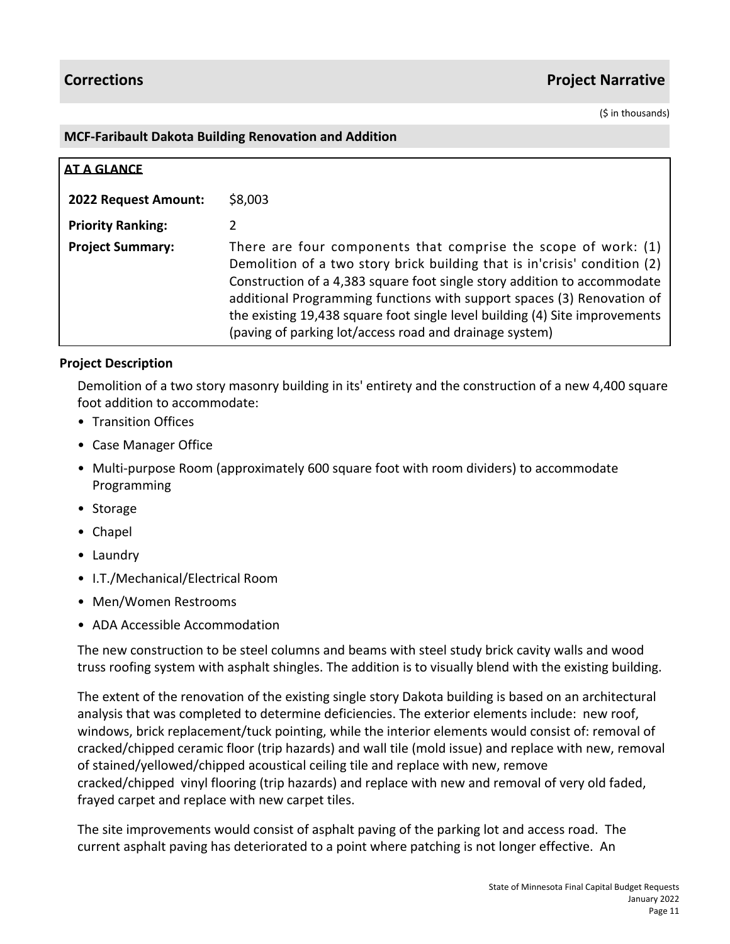(\$ in thousands)

## **MCF-Faribault Dakota Building Renovation and Addition**

| <b>AT A GLANCE</b>       |                                                                                                                                                                                                                                                                                                                                                                                                                                               |
|--------------------------|-----------------------------------------------------------------------------------------------------------------------------------------------------------------------------------------------------------------------------------------------------------------------------------------------------------------------------------------------------------------------------------------------------------------------------------------------|
| 2022 Request Amount:     | \$8,003                                                                                                                                                                                                                                                                                                                                                                                                                                       |
| <b>Priority Ranking:</b> | 2                                                                                                                                                                                                                                                                                                                                                                                                                                             |
| <b>Project Summary:</b>  | There are four components that comprise the scope of work: $(1)$<br>Demolition of a two story brick building that is in'crisis' condition (2)<br>Construction of a 4,383 square foot single story addition to accommodate<br>additional Programming functions with support spaces (3) Renovation of<br>the existing 19,438 square foot single level building (4) Site improvements<br>(paving of parking lot/access road and drainage system) |

# **Project Description**

Demolition of a two story masonry building in its' entirety and the construction of a new 4,400 square foot addition to accommodate:

- Transition Offices
- Case Manager Office
- Multi-purpose Room (approximately 600 square foot with room dividers) to accommodate Programming
- Storage
- Chapel
- Laundry
- I.T./Mechanical/Electrical Room
- Men/Women Restrooms
- ADA Accessible Accommodation

The new construction to be steel columns and beams with steel study brick cavity walls and wood truss roofing system with asphalt shingles. The addition is to visually blend with the existing building.

The extent of the renovation of the existing single story Dakota building is based on an architectural analysis that was completed to determine deficiencies. The exterior elements include: new roof, windows, brick replacement/tuck pointing, while the interior elements would consist of: removal of cracked/chipped ceramic floor (trip hazards) and wall tile (mold issue) and replace with new, removal of stained/yellowed/chipped acoustical ceiling tile and replace with new, remove cracked/chipped vinyl flooring (trip hazards) and replace with new and removal of very old faded, frayed carpet and replace with new carpet tiles.

The site improvements would consist of asphalt paving of the parking lot and access road. The current asphalt paving has deteriorated to a point where patching is not longer effective. An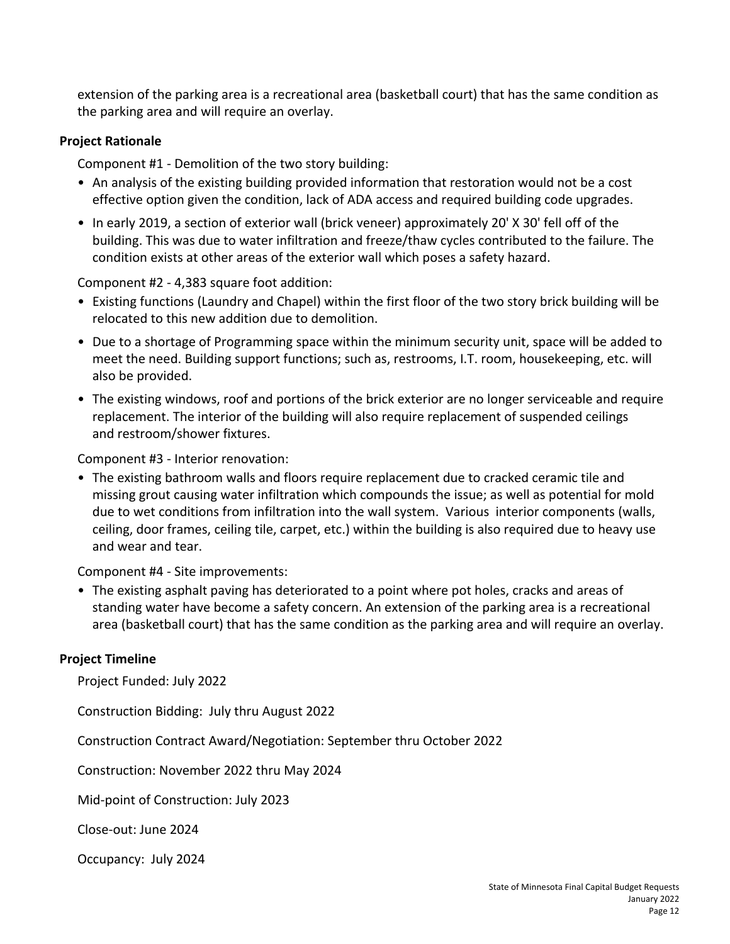extension of the parking area is a recreational area (basketball court) that has the same condition as the parking area and will require an overlay.

# **Project Rationale**

Component #1 - Demolition of the two story building:

- An analysis of the existing building provided information that restoration would not be a cost effective option given the condition, lack of ADA access and required building code upgrades.
- In early 2019, a section of exterior wall (brick veneer) approximately 20' X 30' fell off of the building. This was due to water infiltration and freeze/thaw cycles contributed to the failure. The condition exists at other areas of the exterior wall which poses a safety hazard.

Component #2 - 4,383 square foot addition:

- Existing functions (Laundry and Chapel) within the first floor of the two story brick building will be relocated to this new addition due to demolition.
- Due to a shortage of Programming space within the minimum security unit, space will be added to meet the need. Building support functions; such as, restrooms, I.T. room, housekeeping, etc. will also be provided.
- The existing windows, roof and portions of the brick exterior are no longer serviceable and require replacement. The interior of the building will also require replacement of suspended ceilings and restroom/shower fixtures.

Component #3 - Interior renovation:

• The existing bathroom walls and floors require replacement due to cracked ceramic tile and missing grout causing water infiltration which compounds the issue; as well as potential for mold due to wet conditions from infiltration into the wall system. Various interior components (walls, ceiling, door frames, ceiling tile, carpet, etc.) within the building is also required due to heavy use and wear and tear.

Component #4 - Site improvements:

• The existing asphalt paving has deteriorated to a point where pot holes, cracks and areas of standing water have become a safety concern. An extension of the parking area is a recreational area (basketball court) that has the same condition as the parking area and will require an overlay.

# **Project Timeline**

Project Funded: July 2022

Construction Bidding: July thru August 2022

Construction Contract Award/Negotiation: September thru October 2022

Construction: November 2022 thru May 2024

Mid-point of Construction: July 2023

Close-out: June 2024

Occupancy: July 2024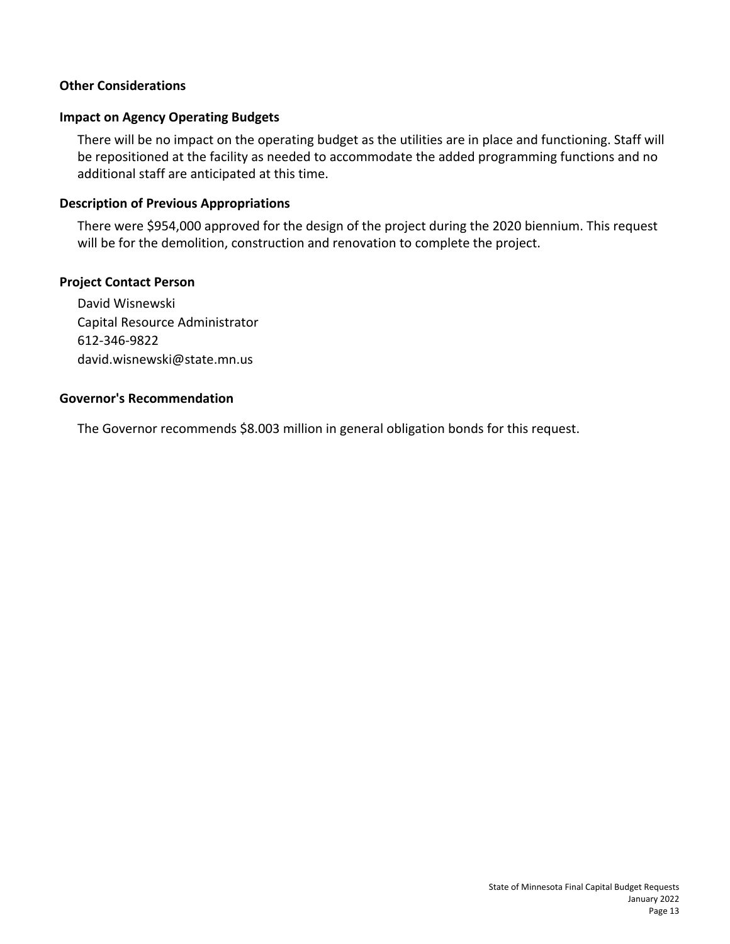# **Other Considerations**

# **Impact on Agency Operating Budgets**

There will be no impact on the operating budget as the utilities are in place and functioning. Staff will be repositioned at the facility as needed to accommodate the added programming functions and no additional staff are anticipated at this time.

# **Description of Previous Appropriations**

There were \$954,000 approved for the design of the project during the 2020 biennium. This request will be for the demolition, construction and renovation to complete the project.

# **Project Contact Person**

David Wisnewski Capital Resource Administrator 612-346-9822 david.wisnewski@state.mn.us

# **Governor's Recommendation**

The Governor recommends \$8.003 million in general obligation bonds for this request.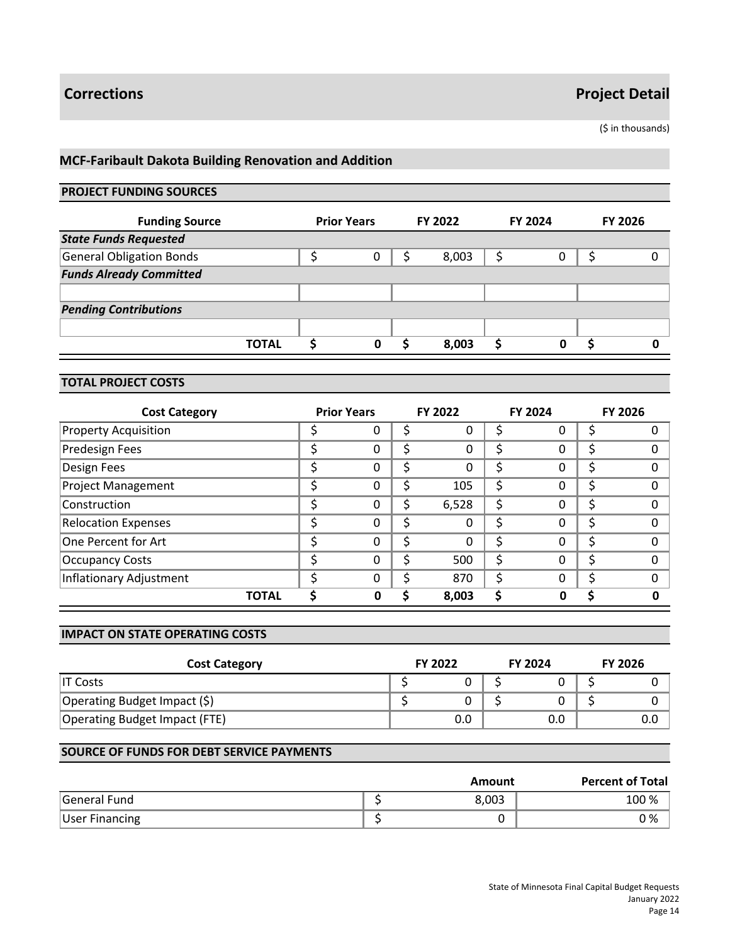(\$ in thousands)

# **MCF-Faribault Dakota Building Renovation and Addition**

## **PROJECT FUNDING SOURCES**

| <b>Funding Source</b>           | <b>Prior Years</b> | FY 2022 | <b>FY 2024</b> | <b>FY 2026</b> |
|---------------------------------|--------------------|---------|----------------|----------------|
| <b>State Funds Requested</b>    |                    |         |                |                |
| <b>General Obligation Bonds</b> | 0                  | 8,003   | 0              | 0              |
| <b>Funds Already Committed</b>  |                    |         |                |                |
|                                 |                    |         |                |                |
| <b>Pending Contributions</b>    |                    |         |                |                |
|                                 |                    |         |                |                |
| <b>TOTAL</b>                    | 0                  | 8,003   | ი              |                |

#### **TOTAL PROJECT COSTS**

| <b>Cost Category</b>        |   | <b>Prior Years</b> |    | FY 2022 |   | <b>FY 2024</b> | <b>FY 2026</b> |
|-----------------------------|---|--------------------|----|---------|---|----------------|----------------|
| <b>Property Acquisition</b> |   | O                  |    | 0       |   | 0              |                |
| <b>Predesign Fees</b>       |   | 0                  | \$ | 0       | Ś | 0              |                |
| Design Fees                 | ◠ | 0                  | \$ | 0       | S | 0              |                |
| <b>Project Management</b>   |   | 0                  | \$ | 105     | S | 0              |                |
| Construction                | c | 0                  | \$ | 6,528   | Ś | 0              |                |
| <b>Relocation Expenses</b>  |   | 0                  | \$ | 0       | S | 0              |                |
| One Percent for Art         | c | 0                  | Ś  | 0       | Ś | 0              | n              |
| <b>Occupancy Costs</b>      |   | 0                  | \$ | 500     | Ś | 0              |                |
| Inflationary Adjustment     |   | 0                  | Ś  | 870     | Ś | 0              | $\Omega$       |
| <b>TOTAL</b>                |   | Ω                  | ς  | 8,003   | S | Ω              |                |

#### **IMPACT ON STATE OPERATING COSTS**

| <b>Cost Category</b>          | <b>FY 2022</b> | <b>FY 2024</b> | <b>FY 2026</b> |
|-------------------------------|----------------|----------------|----------------|
| $\overline{\mathsf{I}}$ Costs |                |                |                |
| Operating Budget Impact (\$)  |                |                |                |
| Operating Budget Impact (FTE) | 0.0            | 0.0            | 0.0            |

|                       | Amount | <b>Percent of Total</b> |
|-----------------------|--------|-------------------------|
| General Fund          | 8.003  | 100 %                   |
| <b>User Financing</b> |        | 0 %                     |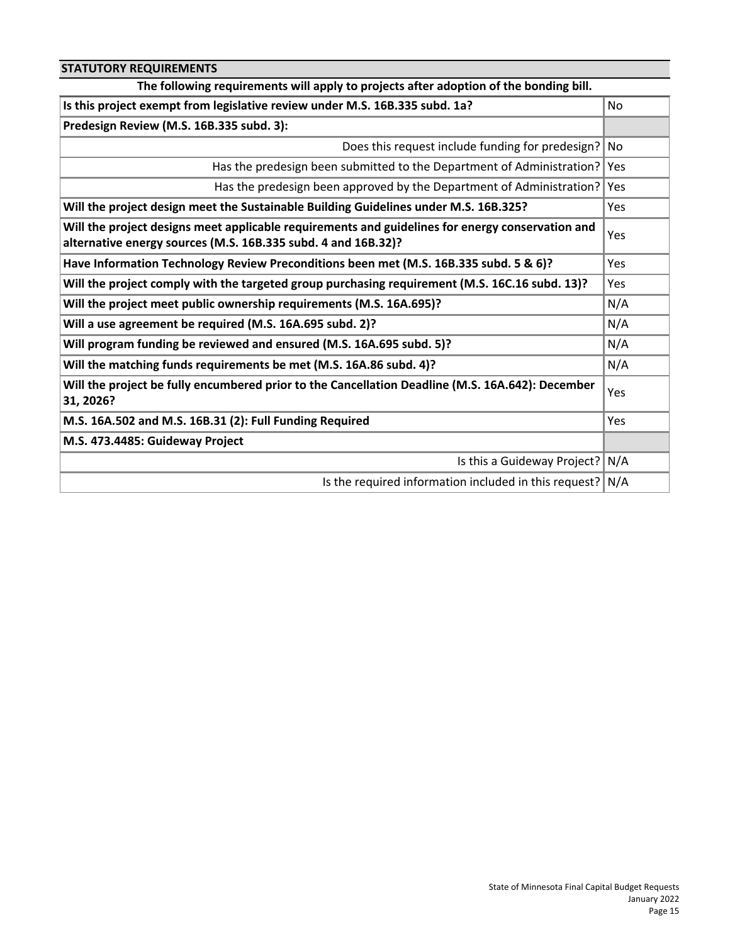| <b>STATUTORY REQUIREMENTS</b>                                                                                                                                     |            |
|-------------------------------------------------------------------------------------------------------------------------------------------------------------------|------------|
| The following requirements will apply to projects after adoption of the bonding bill.                                                                             |            |
| Is this project exempt from legislative review under M.S. 16B.335 subd. 1a?                                                                                       | No.        |
| Predesign Review (M.S. 16B.335 subd. 3):                                                                                                                          |            |
| Does this request include funding for predesign?                                                                                                                  | l No       |
| Has the predesign been submitted to the Department of Administration?                                                                                             | Yes        |
| Has the predesign been approved by the Department of Administration?                                                                                              | Yes        |
| Will the project design meet the Sustainable Building Guidelines under M.S. 16B.325?                                                                              | <b>Yes</b> |
| Will the project designs meet applicable requirements and guidelines for energy conservation and<br>alternative energy sources (M.S. 16B.335 subd. 4 and 16B.32)? | Yes        |
| Have Information Technology Review Preconditions been met (M.S. 16B.335 subd. 5 & 6)?                                                                             | Yes        |
| Will the project comply with the targeted group purchasing requirement (M.S. 16C.16 subd. 13)?                                                                    | Yes        |
| Will the project meet public ownership requirements (M.S. 16A.695)?                                                                                               | N/A        |
| Will a use agreement be required (M.S. 16A.695 subd. 2)?                                                                                                          | N/A        |
| Will program funding be reviewed and ensured (M.S. 16A.695 subd. 5)?                                                                                              | N/A        |
| Will the matching funds requirements be met (M.S. 16A.86 subd. 4)?                                                                                                | N/A        |
| Will the project be fully encumbered prior to the Cancellation Deadline (M.S. 16A.642): December<br>31, 2026?                                                     | Yes        |
| M.S. 16A.502 and M.S. 16B.31 (2): Full Funding Required                                                                                                           | Yes        |
| M.S. 473.4485: Guideway Project                                                                                                                                   |            |
| Is this a Guideway Project?                                                                                                                                       | N/A        |
| Is the required information included in this request? $N/A$                                                                                                       |            |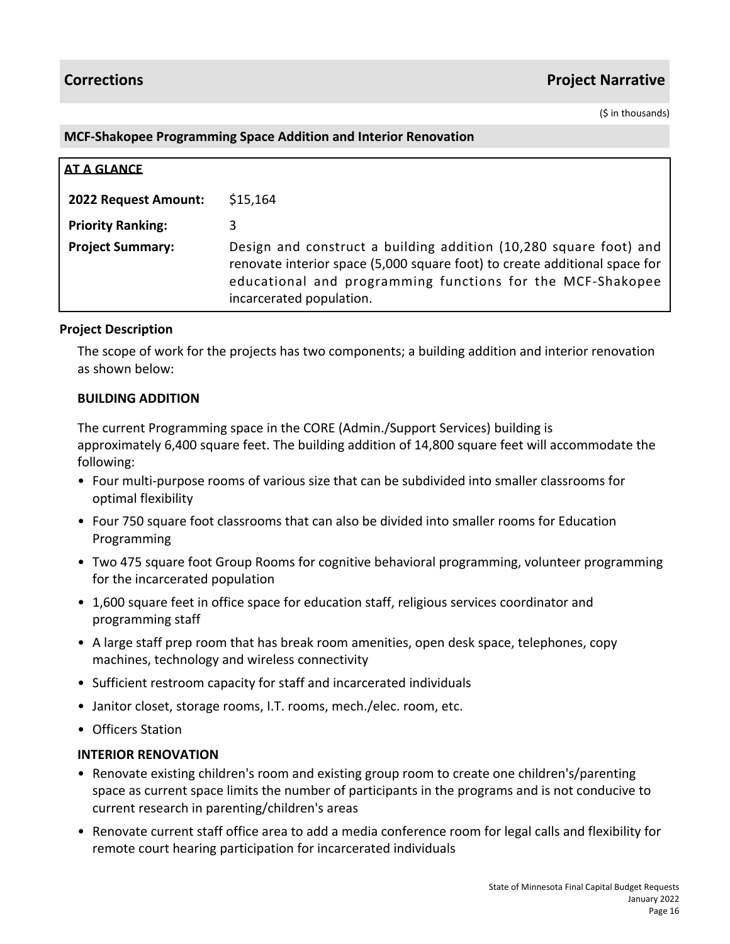(\$ in thousands)

## **MCF-Shakopee Programming Space Addition and Interior Renovation**

| <b>AT A GLANCE</b>       |                                                                                                                                                                                                                                           |
|--------------------------|-------------------------------------------------------------------------------------------------------------------------------------------------------------------------------------------------------------------------------------------|
| 2022 Request Amount:     | \$15,164                                                                                                                                                                                                                                  |
| <b>Priority Ranking:</b> |                                                                                                                                                                                                                                           |
| <b>Project Summary:</b>  | Design and construct a building addition (10,280 square foot) and<br>renovate interior space (5,000 square foot) to create additional space for<br>educational and programming functions for the MCF-Shakopee<br>incarcerated population. |

# **Project Description**

The scope of work for the projects has two components; a building addition and interior renovation as shown below:

# **BUILDING ADDITION**

The current Programming space in the CORE (Admin./Support Services) building is approximately 6,400 square feet. The building addition of 14,800 square feet will accommodate the following:

- Four multi-purpose rooms of various size that can be subdivided into smaller classrooms for optimal flexibility
- Four 750 square foot classrooms that can also be divided into smaller rooms for Education Programming
- Two 475 square foot Group Rooms for cognitive behavioral programming, volunteer programming for the incarcerated population
- 1,600 square feet in office space for education staff, religious services coordinator and programming staff
- A large staff prep room that has break room amenities, open desk space, telephones, copy machines, technology and wireless connectivity
- Sufficient restroom capacity for staff and incarcerated individuals
- Janitor closet, storage rooms, I.T. rooms, mech./elec. room, etc.
- Officers Station

# **INTERIOR RENOVATION**

- Renovate existing children's room and existing group room to create one children's/parenting space as current space limits the number of participants in the programs and is not conducive to current research in parenting/children's areas
- Renovate current staff office area to add a media conference room for legal calls and flexibility for remote court hearing participation for incarcerated individuals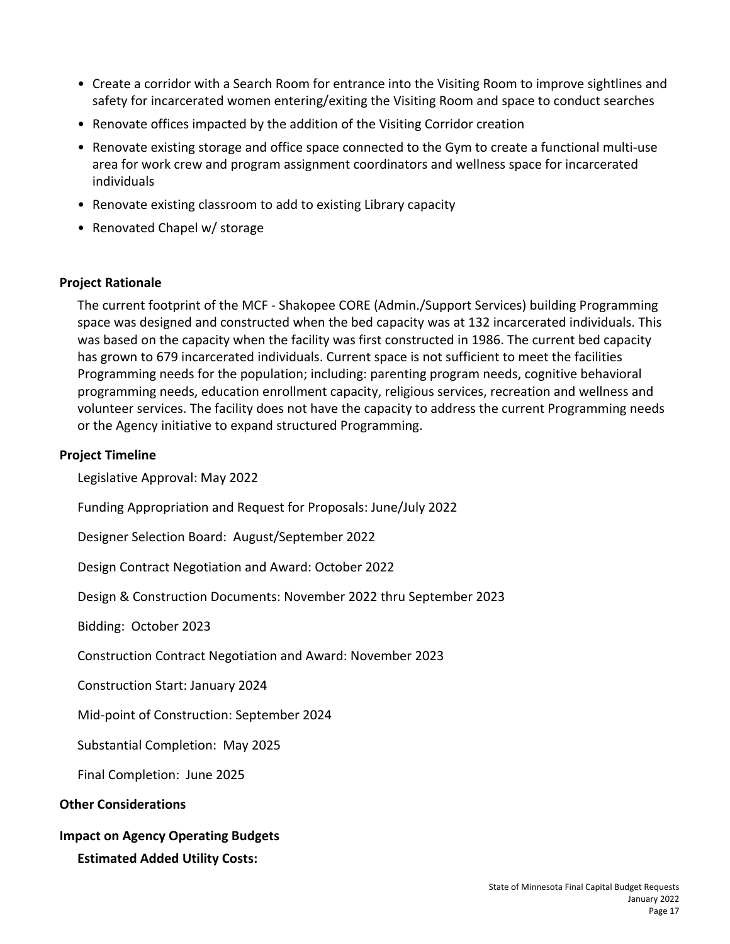- Create a corridor with a Search Room for entrance into the Visiting Room to improve sightlines and safety for incarcerated women entering/exiting the Visiting Room and space to conduct searches
- Renovate offices impacted by the addition of the Visiting Corridor creation
- Renovate existing storage and office space connected to the Gym to create a functional multi-use area for work crew and program assignment coordinators and wellness space for incarcerated individuals
- Renovate existing classroom to add to existing Library capacity
- Renovated Chapel w/ storage

# **Project Rationale**

The current footprint of the MCF - Shakopee CORE (Admin./Support Services) building Programming space was designed and constructed when the bed capacity was at 132 incarcerated individuals. This was based on the capacity when the facility was first constructed in 1986. The current bed capacity has grown to 679 incarcerated individuals. Current space is not sufficient to meet the facilities Programming needs for the population; including: parenting program needs, cognitive behavioral programming needs, education enrollment capacity, religious services, recreation and wellness and volunteer services. The facility does not have the capacity to address the current Programming needs or the Agency initiative to expand structured Programming.

### **Project Timeline**

Legislative Approval: May 2022

Funding Appropriation and Request for Proposals: June/July 2022

Designer Selection Board: August/September 2022

Design Contract Negotiation and Award: October 2022

Design & Construction Documents: November 2022 thru September 2023

Bidding: October 2023

Construction Contract Negotiation and Award: November 2023

Construction Start: January 2024

Mid-point of Construction: September 2024

Substantial Completion: May 2025

Final Completion: June 2025

#### **Other Considerations**

# **Impact on Agency Operating Budgets**

**Estimated Added Utility Costs:**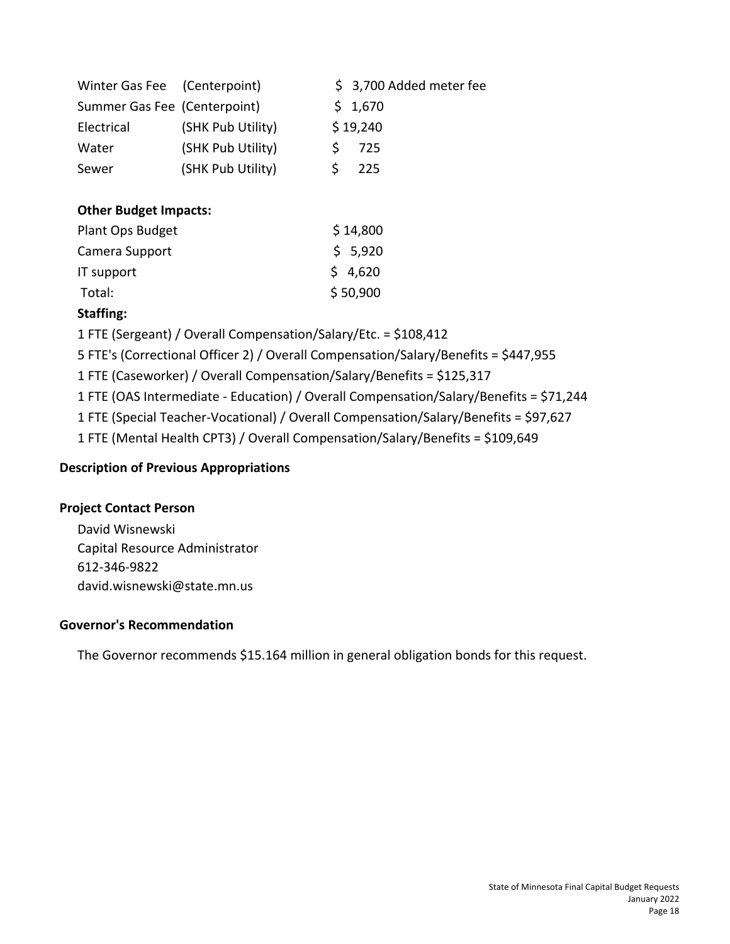| Winter Gas Fee (Centerpoint) |                   | \$ 3,700 Added meter fee |
|------------------------------|-------------------|--------------------------|
| Summer Gas Fee (Centerpoint) |                   | \$1,670                  |
| Electrical                   | (SHK Pub Utility) | \$19,240                 |
| Water                        | (SHK Pub Utility) | 725                      |
| Sewer                        | (SHK Pub Utility) | 225                      |

# **Other Budget Impacts:**

| \$14,800 |
|----------|
| \$5,920  |
| \$4,620  |
| \$50,900 |
|          |

# **Staffing:**

1 FTE (Sergeant) / Overall Compensation/Salary/Etc. = \$108,412

5 FTE's (Correctional Officer 2) / Overall Compensation/Salary/Benefits = \$447,955

1 FTE (Caseworker) / Overall Compensation/Salary/Benefits = \$125,317

1 FTE (OAS Intermediate - Education) / Overall Compensation/Salary/Benefits = \$71,244

1 FTE (Special Teacher-Vocational) / Overall Compensation/Salary/Benefits = \$97,627

1 FTE (Mental Health CPT3) / Overall Compensation/Salary/Benefits = \$109,649

# **Description of Previous Appropriations**

# **Project Contact Person**

David Wisnewski Capital Resource Administrator 612-346-9822 david.wisnewski@state.mn.us

# **Governor's Recommendation**

The Governor recommends \$15.164 million in general obligation bonds for this request.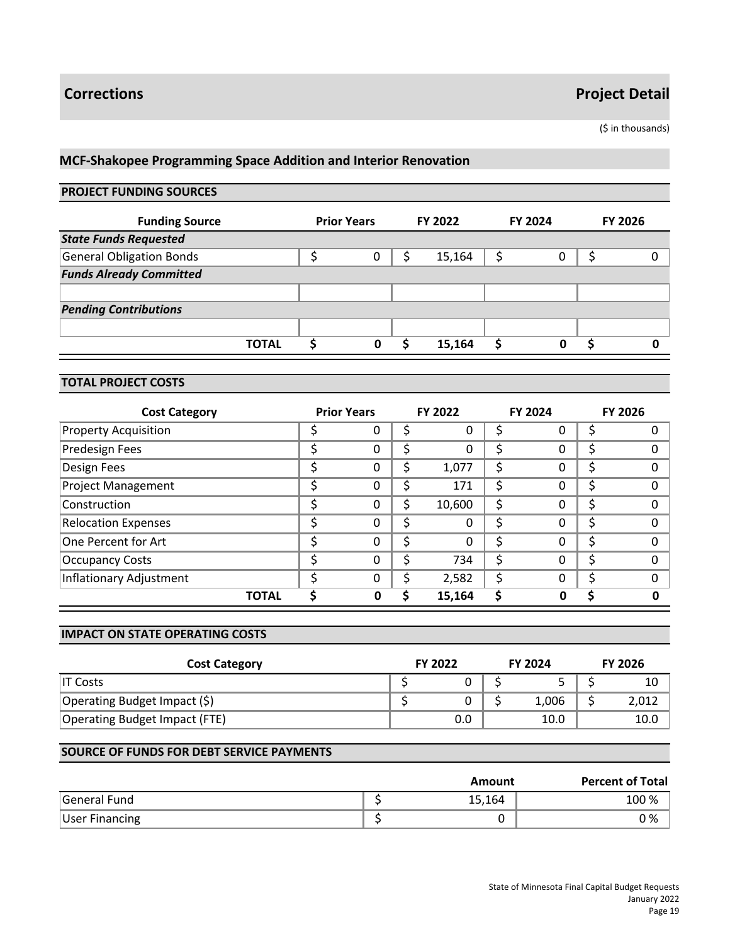(\$ in thousands)

# **MCF-Shakopee Programming Space Addition and Interior Renovation**

# **PROJECT FUNDING SOURCES**

| <b>Funding Source</b>           | <b>Prior Years</b> | FY 2022 |   | <b>FY 2024</b> | <b>FY 2026</b> |
|---------------------------------|--------------------|---------|---|----------------|----------------|
| <b>State Funds Requested</b>    |                    |         |   |                |                |
| <b>General Obligation Bonds</b> | 0                  | 15,164  | Ś | 0              | 0              |
| <b>Funds Already Committed</b>  |                    |         |   |                |                |
|                                 |                    |         |   |                |                |
| <b>Pending Contributions</b>    |                    |         |   |                |                |
|                                 |                    |         |   |                |                |
| <b>TOTAL</b>                    | 0                  | 15,164  |   | 0              |                |

#### **TOTAL PROJECT COSTS**

| <b>Cost Category</b>        |    | <b>Prior Years</b> |    | <b>FY 2022</b> |   | <b>FY 2024</b> |   | <b>FY 2026</b> |
|-----------------------------|----|--------------------|----|----------------|---|----------------|---|----------------|
| <b>Property Acquisition</b> |    | O                  | Ş  | 0              |   | 0              |   |                |
| Predesign Fees              |    | 0                  | \$ | 0              |   | 0              | ⊃ |                |
| Design Fees                 | ∼  | 0                  | \$ | 1,077          | S | 0              |   | O              |
| <b>Project Management</b>   |    | 0                  | \$ | 171            | S | 0              |   |                |
| Construction                | c  | 0                  | \$ | 10,600         | Ś | 0              |   | O              |
| <b>Relocation Expenses</b>  |    | 0                  | \$ | 0              | Ś | 0              | Ş | O              |
| One Percent for Art         | \$ | $\Omega$           | \$ | 0              | Ś | 0              | Ś | ∩              |
| <b>Occupancy Costs</b>      |    | 0                  | \$ | 734            | Ś | 0              |   | 0              |
| Inflationary Adjustment     |    | $\Omega$           | \$ | 2,582          |   | 0              |   | O              |
| <b>TOTAL</b>                |    | Ω                  | ς  | 15,164         |   | ი              |   | Ω              |

#### **IMPACT ON STATE OPERATING COSTS**

| <b>Cost Category</b>          |  | <b>FY 2022</b> |  | <b>FY 2024</b> |  | <b>FY 2026</b> |  |
|-------------------------------|--|----------------|--|----------------|--|----------------|--|
| IT Costs                      |  |                |  |                |  | 10             |  |
| Operating Budget Impact (\$)  |  |                |  | 1,006          |  | 2,012          |  |
| Operating Budget Impact (FTE) |  | 0.0            |  | 10.0           |  | 10.0           |  |

|                       | Amount | <b>Percent of Total</b> |
|-----------------------|--------|-------------------------|
| General Fund          | 15,164 | 100 %                   |
| <b>User Financing</b> |        | 0 %                     |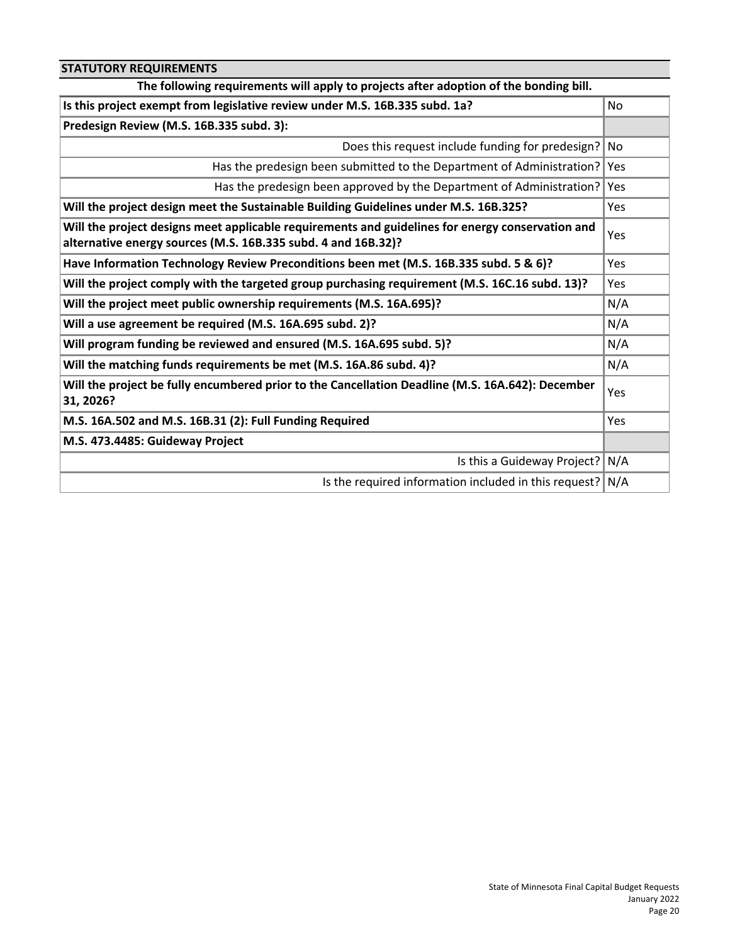| <b>STATUTORY REQUIREMENTS</b>                                                                                                                                     |            |
|-------------------------------------------------------------------------------------------------------------------------------------------------------------------|------------|
| The following requirements will apply to projects after adoption of the bonding bill.                                                                             |            |
| Is this project exempt from legislative review under M.S. 16B.335 subd. 1a?                                                                                       | No.        |
| Predesign Review (M.S. 16B.335 subd. 3):                                                                                                                          |            |
| Does this request include funding for predesign?                                                                                                                  | l No       |
| Has the predesign been submitted to the Department of Administration?                                                                                             | Yes        |
| Has the predesign been approved by the Department of Administration?                                                                                              | Yes        |
| Will the project design meet the Sustainable Building Guidelines under M.S. 16B.325?                                                                              | <b>Yes</b> |
| Will the project designs meet applicable requirements and guidelines for energy conservation and<br>alternative energy sources (M.S. 16B.335 subd. 4 and 16B.32)? | Yes        |
| Have Information Technology Review Preconditions been met (M.S. 16B.335 subd. 5 & 6)?                                                                             | Yes        |
| Will the project comply with the targeted group purchasing requirement (M.S. 16C.16 subd. 13)?                                                                    | Yes        |
| Will the project meet public ownership requirements (M.S. 16A.695)?                                                                                               | N/A        |
| Will a use agreement be required (M.S. 16A.695 subd. 2)?                                                                                                          | N/A        |
| Will program funding be reviewed and ensured (M.S. 16A.695 subd. 5)?                                                                                              | N/A        |
| Will the matching funds requirements be met (M.S. 16A.86 subd. 4)?                                                                                                | N/A        |
| Will the project be fully encumbered prior to the Cancellation Deadline (M.S. 16A.642): December<br>31, 2026?                                                     | Yes        |
| M.S. 16A.502 and M.S. 16B.31 (2): Full Funding Required                                                                                                           | Yes        |
| M.S. 473.4485: Guideway Project                                                                                                                                   |            |
| Is this a Guideway Project?                                                                                                                                       | N/A        |
| Is the required information included in this request? $N/A$                                                                                                       |            |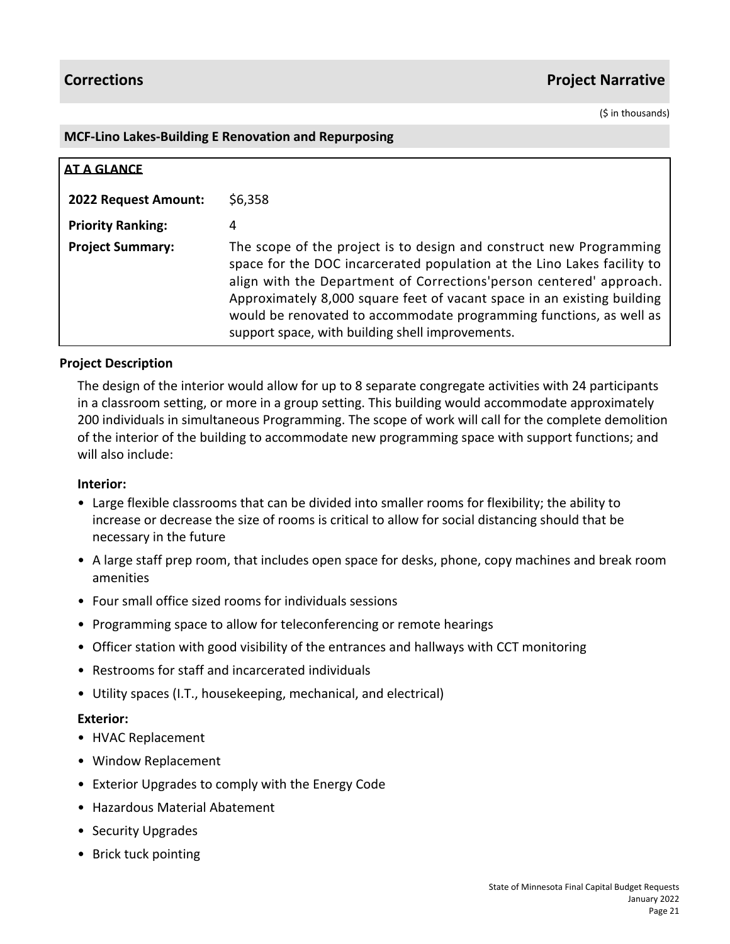(\$ in thousands)

### **MCF-Lino Lakes-Building E Renovation and Repurposing**

| <b>AT A GLANCE</b>          |                                                                                                                                                                                                                                                                                                                                                                                                                              |
|-----------------------------|------------------------------------------------------------------------------------------------------------------------------------------------------------------------------------------------------------------------------------------------------------------------------------------------------------------------------------------------------------------------------------------------------------------------------|
| <b>2022 Request Amount:</b> | \$6,358                                                                                                                                                                                                                                                                                                                                                                                                                      |
| <b>Priority Ranking:</b>    | 4                                                                                                                                                                                                                                                                                                                                                                                                                            |
| <b>Project Summary:</b>     | The scope of the project is to design and construct new Programming<br>space for the DOC incarcerated population at the Lino Lakes facility to<br>align with the Department of Corrections' person centered' approach.<br>Approximately 8,000 square feet of vacant space in an existing building<br>would be renovated to accommodate programming functions, as well as<br>support space, with building shell improvements. |

# **Project Description**

The design of the interior would allow for up to 8 separate congregate activities with 24 participants in a classroom setting, or more in a group setting. This building would accommodate approximately 200 individuals in simultaneous Programming. The scope of work will call for the complete demolition of the interior of the building to accommodate new programming space with support functions; and will also include:

# **Interior:**

- Large flexible classrooms that can be divided into smaller rooms for flexibility; the ability to increase or decrease the size of rooms is critical to allow for social distancing should that be necessary in the future
- A large staff prep room, that includes open space for desks, phone, copy machines and break room amenities
- Four small office sized rooms for individuals sessions
- Programming space to allow for teleconferencing or remote hearings
- Officer station with good visibility of the entrances and hallways with CCT monitoring
- Restrooms for staff and incarcerated individuals
- Utility spaces (I.T., housekeeping, mechanical, and electrical)

# **Exterior:**

- HVAC Replacement
- Window Replacement
- Exterior Upgrades to comply with the Energy Code
- Hazardous Material Abatement
- Security Upgrades
- Brick tuck pointing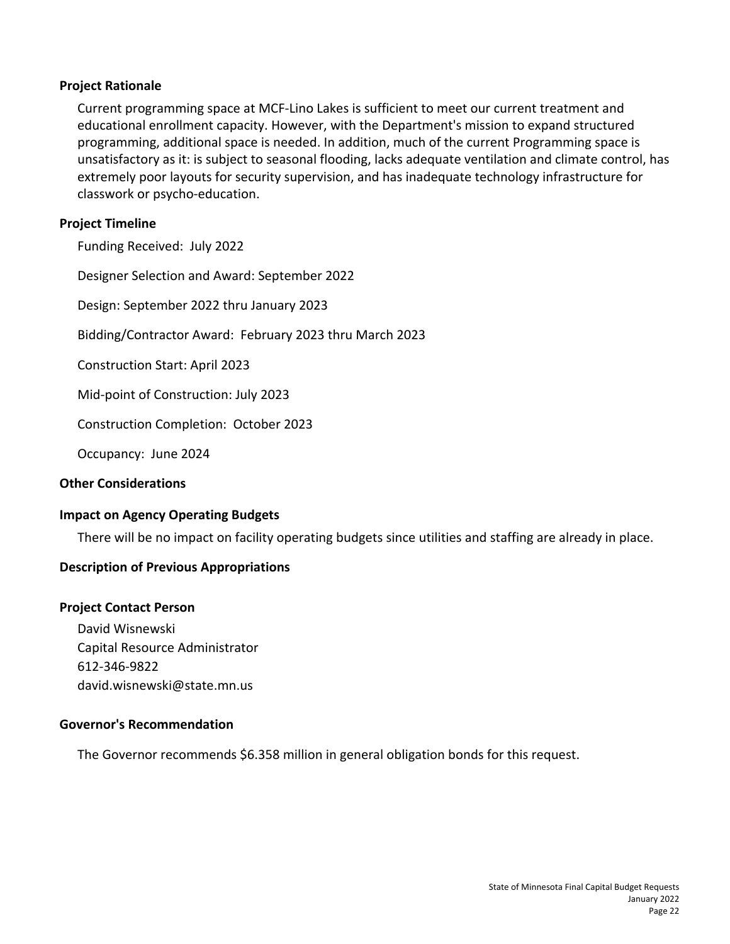# **Project Rationale**

Current programming space at MCF-Lino Lakes is sufficient to meet our current treatment and educational enrollment capacity. However, with the Department's mission to expand structured programming, additional space is needed. In addition, much of the current Programming space is unsatisfactory as it: is subject to seasonal flooding, lacks adequate ventilation and climate control, has extremely poor layouts for security supervision, and has inadequate technology infrastructure for classwork or psycho-education.

# **Project Timeline**

Funding Received: July 2022

Designer Selection and Award: September 2022

Design: September 2022 thru January 2023

Bidding/Contractor Award: February 2023 thru March 2023

Construction Start: April 2023

Mid-point of Construction: July 2023

Construction Completion: October 2023

Occupancy: June 2024

### **Other Considerations**

# **Impact on Agency Operating Budgets**

There will be no impact on facility operating budgets since utilities and staffing are already in place.

# **Description of Previous Appropriations**

#### **Project Contact Person**

David Wisnewski Capital Resource Administrator 612-346-9822 david.wisnewski@state.mn.us

#### **Governor's Recommendation**

The Governor recommends \$6.358 million in general obligation bonds for this request.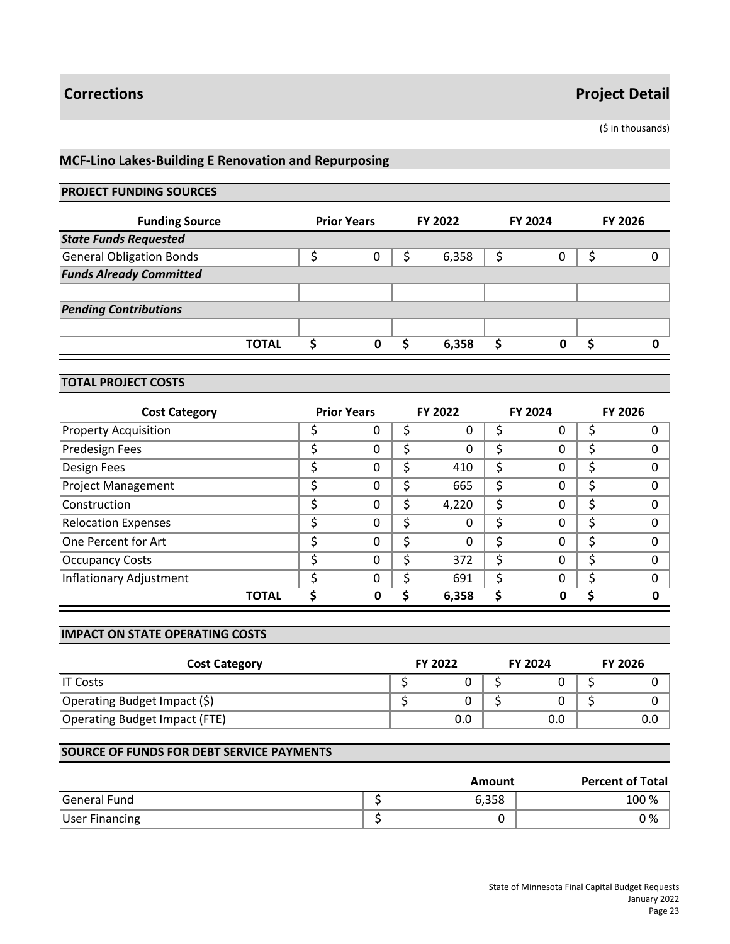(\$ in thousands)

# **MCF-Lino Lakes-Building E Renovation and Repurposing**

# **PROJECT FUNDING SOURCES**

| <b>Funding Source</b>           | <b>Prior Years</b> | FY 2022 | <b>FY 2024</b> | <b>FY 2026</b> |
|---------------------------------|--------------------|---------|----------------|----------------|
| <b>State Funds Requested</b>    |                    |         |                |                |
| <b>General Obligation Bonds</b> | 0                  | 6,358   |                | 0              |
| <b>Funds Already Committed</b>  |                    |         |                |                |
|                                 |                    |         |                |                |
| <b>Pending Contributions</b>    |                    |         |                |                |
|                                 |                    |         |                |                |
| <b>TOTAL</b>                    | 0                  | 6,358   | ი              |                |

# **TOTAL PROJECT COSTS**

| <b>Cost Category</b>        |   | <b>Prior Years</b> |    | <b>FY 2022</b> |    | <b>FY 2024</b> | <b>FY 2026</b> |
|-----------------------------|---|--------------------|----|----------------|----|----------------|----------------|
| <b>Property Acquisition</b> |   | υ                  | S  | 0              |    | U              |                |
| <b>Predesign Fees</b>       | c | 0                  | \$ | 0              | Ś  | 0              |                |
| Design Fees                 |   | 0                  | \$ | 410            | \$ | 0              |                |
| <b>Project Management</b>   |   | 0                  | \$ | 665            | Ś  | 0              |                |
| Construction                | c | 0                  | \$ | 4,220          | Ś  | 0              |                |
| <b>Relocation Expenses</b>  |   | 0                  | \$ | 0              | Ś  | 0              |                |
| One Percent for Art         | Ś | 0                  | \$ | 0              | Ś  | 0              |                |
| <b>Occupancy Costs</b>      | ◠ | 0                  | \$ | 372            | Ś  | 0              |                |
| Inflationary Adjustment     |   | $\Omega$           | Ś  | 691            | S  | 0              | $\Omega$       |
| <b>TOTAL</b>                |   | Ω                  | ς  | 6,358          |    | Ω              |                |

#### **IMPACT ON STATE OPERATING COSTS**

| <b>Cost Category</b>          | <b>FY 2022</b> | <b>FY 2024</b> | <b>FY 2026</b> |
|-------------------------------|----------------|----------------|----------------|
| IT Costs                      |                |                |                |
| Operating Budget Impact (\$)  |                |                |                |
| Operating Budget Impact (FTE) | 0.0            | 0.0            | 0.0            |

|                       | Amount | <b>Percent of Total</b> |
|-----------------------|--------|-------------------------|
| General Fund          | 6,358  | 100 %                   |
| <b>User Financing</b> |        | 0 %                     |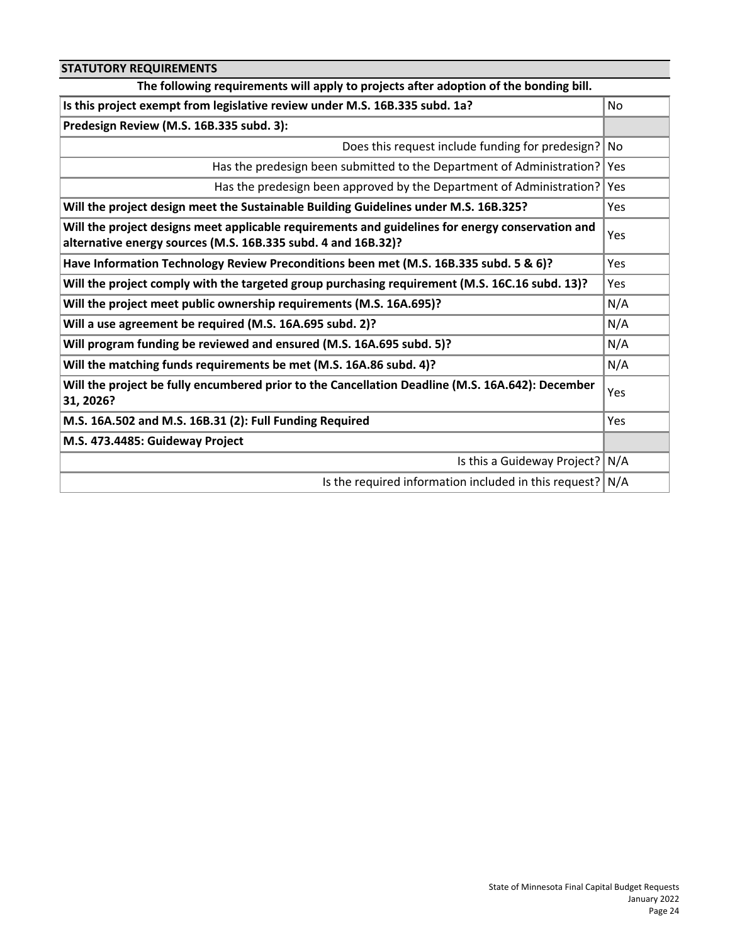| <b>STATUTORY REQUIREMENTS</b>                                                                                                                                     |      |  |  |
|-------------------------------------------------------------------------------------------------------------------------------------------------------------------|------|--|--|
| The following requirements will apply to projects after adoption of the bonding bill.                                                                             |      |  |  |
| Is this project exempt from legislative review under M.S. 16B.335 subd. 1a?                                                                                       | No.  |  |  |
| Predesign Review (M.S. 16B.335 subd. 3):                                                                                                                          |      |  |  |
| Does this request include funding for predesign?                                                                                                                  | l No |  |  |
| Has the predesign been submitted to the Department of Administration?                                                                                             | Yes  |  |  |
| Has the predesign been approved by the Department of Administration?                                                                                              | Yes  |  |  |
| Will the project design meet the Sustainable Building Guidelines under M.S. 16B.325?                                                                              | Yes  |  |  |
| Will the project designs meet applicable requirements and guidelines for energy conservation and<br>alternative energy sources (M.S. 16B.335 subd. 4 and 16B.32)? | Yes  |  |  |
| Have Information Technology Review Preconditions been met (M.S. 16B.335 subd. 5 & 6)?                                                                             | Yes  |  |  |
| Will the project comply with the targeted group purchasing requirement (M.S. 16C.16 subd. 13)?                                                                    |      |  |  |
| Will the project meet public ownership requirements (M.S. 16A.695)?                                                                                               | N/A  |  |  |
| Will a use agreement be required (M.S. 16A.695 subd. 2)?                                                                                                          | N/A  |  |  |
| Will program funding be reviewed and ensured (M.S. 16A.695 subd. 5)?                                                                                              | N/A  |  |  |
| Will the matching funds requirements be met (M.S. 16A.86 subd. 4)?                                                                                                | N/A  |  |  |
| Will the project be fully encumbered prior to the Cancellation Deadline (M.S. 16A.642): December<br>31, 2026?                                                     | Yes  |  |  |
| M.S. 16A.502 and M.S. 16B.31 (2): Full Funding Required                                                                                                           | Yes  |  |  |
| M.S. 473.4485: Guideway Project                                                                                                                                   |      |  |  |
| Is this a Guideway Project?                                                                                                                                       | ∣N/A |  |  |
| Is the required information included in this request? $N/A$                                                                                                       |      |  |  |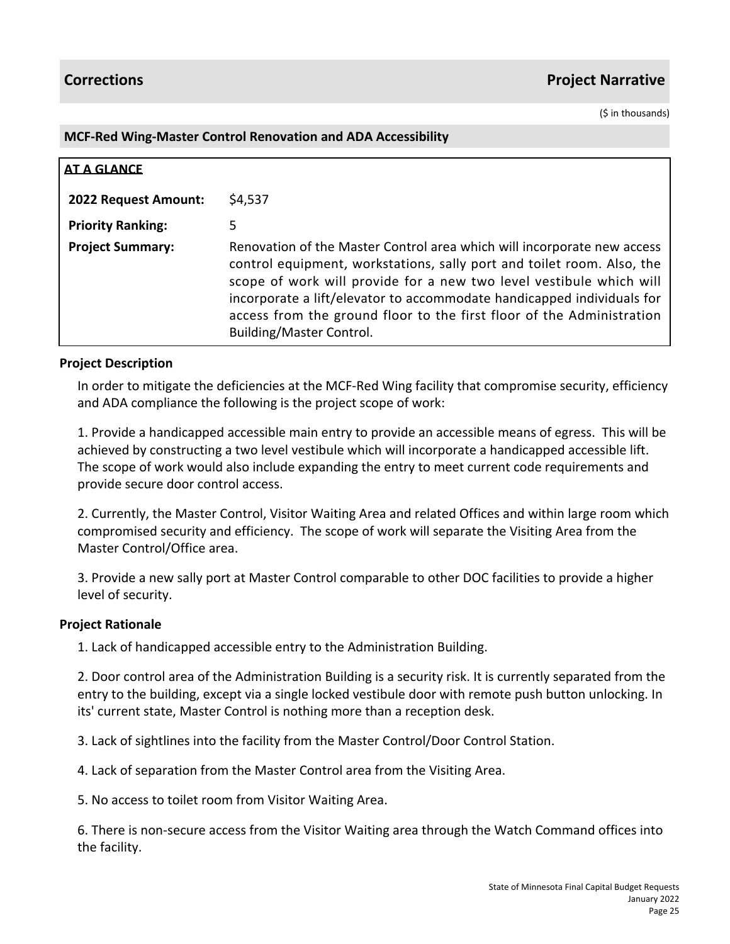(\$ in thousands)

## **MCF-Red Wing-Master Control Renovation and ADA Accessibility**

| <b>AT A GLANCE</b>       |                                                                                                                                                                                                                                                                                                                                                                                                         |
|--------------------------|---------------------------------------------------------------------------------------------------------------------------------------------------------------------------------------------------------------------------------------------------------------------------------------------------------------------------------------------------------------------------------------------------------|
| 2022 Request Amount:     | \$4,537                                                                                                                                                                                                                                                                                                                                                                                                 |
| <b>Priority Ranking:</b> | 5                                                                                                                                                                                                                                                                                                                                                                                                       |
| <b>Project Summary:</b>  | Renovation of the Master Control area which will incorporate new access<br>control equipment, workstations, sally port and toilet room. Also, the<br>scope of work will provide for a new two level vestibule which will<br>incorporate a lift/elevator to accommodate handicapped individuals for<br>access from the ground floor to the first floor of the Administration<br>Building/Master Control. |

# **Project Description**

In order to mitigate the deficiencies at the MCF-Red Wing facility that compromise security, efficiency and ADA compliance the following is the project scope of work:

1. Provide a handicapped accessible main entry to provide an accessible means of egress. This will be achieved by constructing a two level vestibule which will incorporate a handicapped accessible lift. The scope of work would also include expanding the entry to meet current code requirements and provide secure door control access.

2. Currently, the Master Control, Visitor Waiting Area and related Offices and within large room which compromised security and efficiency. The scope of work will separate the Visiting Area from the Master Control/Office area.

3. Provide a new sally port at Master Control comparable to other DOC facilities to provide a higher level of security.

# **Project Rationale**

1. Lack of handicapped accessible entry to the Administration Building.

2. Door control area of the Administration Building is a security risk. It is currently separated from the entry to the building, except via a single locked vestibule door with remote push button unlocking. In its' current state, Master Control is nothing more than a reception desk.

3. Lack of sightlines into the facility from the Master Control/Door Control Station.

4. Lack of separation from the Master Control area from the Visiting Area.

5. No access to toilet room from Visitor Waiting Area.

6. There is non-secure access from the Visitor Waiting area through the Watch Command offices into the facility.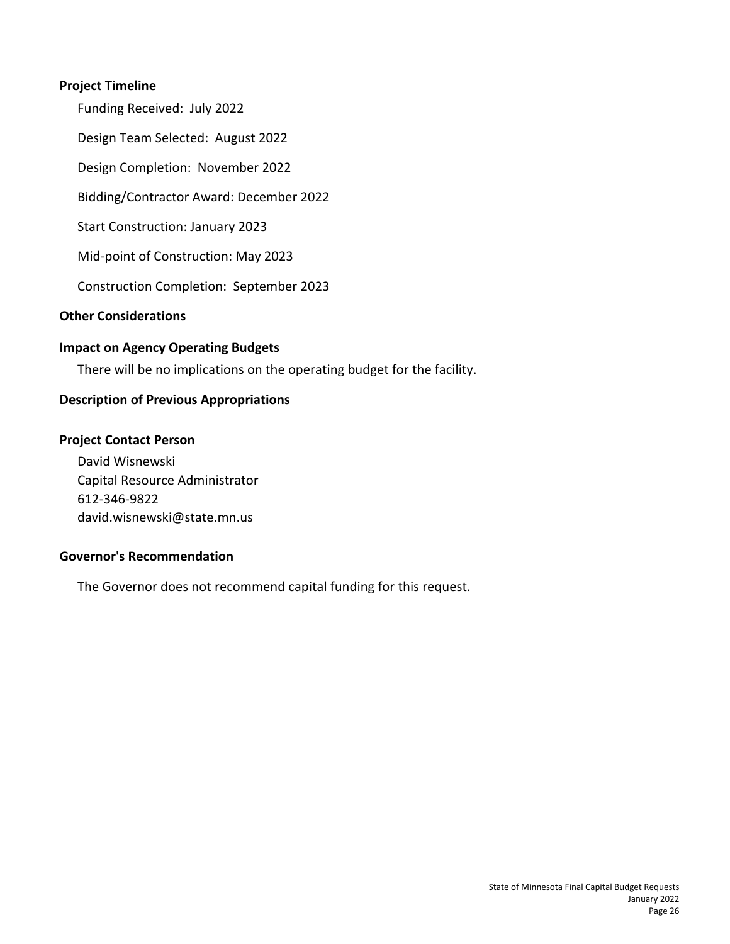# **Project Timeline**

Funding Received: July 2022 Design Team Selected: August 2022 Design Completion: November 2022 Bidding/Contractor Award: December 2022 Start Construction: January 2023 Mid-point of Construction: May 2023 Construction Completion: September 2023 **Other Considerations**

# **Impact on Agency Operating Budgets**

There will be no implications on the operating budget for the facility.

# **Description of Previous Appropriations**

# **Project Contact Person**

David Wisnewski Capital Resource Administrator 612-346-9822 david.wisnewski@state.mn.us

# **Governor's Recommendation**

The Governor does not recommend capital funding for this request.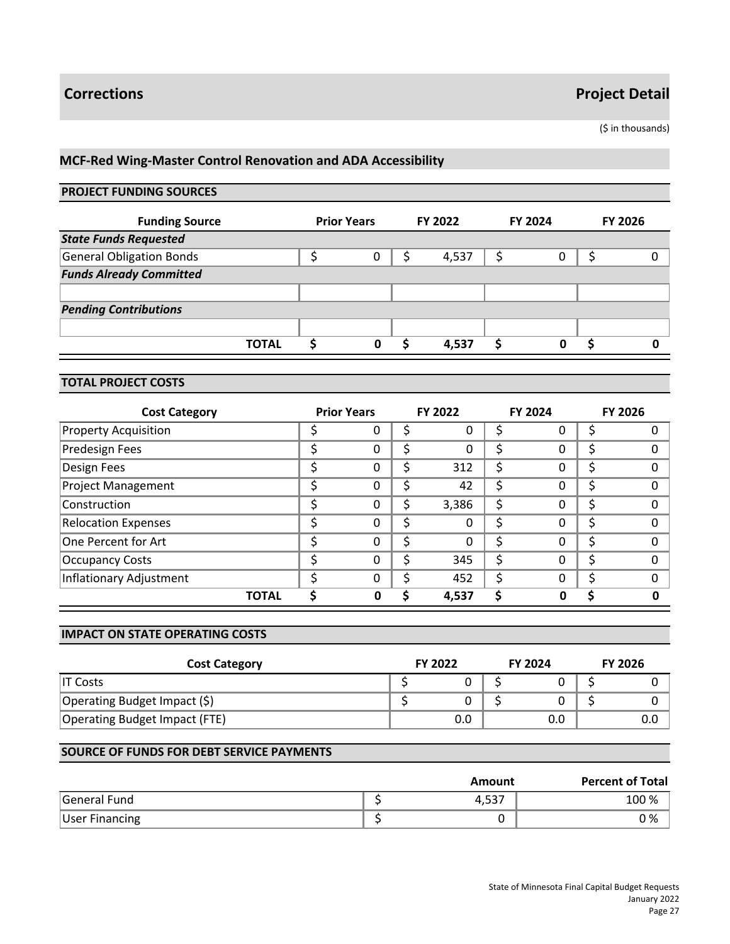(\$ in thousands)

# **MCF-Red Wing-Master Control Renovation and ADA Accessibility**

## **PROJECT FUNDING SOURCES**

| <b>Funding Source</b>           | <b>Prior Years</b> |   | FY 2022 |       | <b>FY 2024</b> |   | <b>FY 2026</b> |   |
|---------------------------------|--------------------|---|---------|-------|----------------|---|----------------|---|
| <b>State Funds Requested</b>    |                    |   |         |       |                |   |                |   |
| <b>General Obligation Bonds</b> |                    | 0 |         | 4,537 |                | 0 |                | 0 |
| <b>Funds Already Committed</b>  |                    |   |         |       |                |   |                |   |
|                                 |                    |   |         |       |                |   |                |   |
| <b>Pending Contributions</b>    |                    |   |         |       |                |   |                |   |
|                                 |                    |   |         |       |                |   |                |   |
| <b>TOTAL</b>                    |                    | 0 |         | 4,537 |                | ი |                |   |

#### **TOTAL PROJECT COSTS**

| <b>Cost Category</b>        |   | <b>Prior Years</b> |    | <b>FY 2022</b> |    | <b>FY 2024</b> | <b>FY 2026</b> |
|-----------------------------|---|--------------------|----|----------------|----|----------------|----------------|
| <b>Property Acquisition</b> |   | 0                  | S  | 0              | S  | O              |                |
| <b>Predesign Fees</b>       | c | 0                  | \$ | 0              | Ś  | 0              |                |
| Design Fees                 |   | 0                  | \$ | 312            | \$ | 0              |                |
| <b>Project Management</b>   |   | 0                  | \$ | 42             | Ś  | 0              |                |
| Construction                | ← | 0                  | \$ | 3,386          | Ś  | 0              |                |
| <b>Relocation Expenses</b>  |   | 0                  | \$ | 0              | S  | 0              |                |
| One Percent for Art         | ċ | 0                  | Ś  | 0              | Ś  | 0              |                |
| <b>Occupancy Costs</b>      |   | 0                  | Ś  | 345            | Ś  | 0              |                |
| Inflationary Adjustment     |   | O                  | Ś  | 452            | Ś  | 0              | $\Omega$       |
| <b>TOTAL</b>                |   | 0                  | S  | 4,537          |    | 0              |                |

#### **IMPACT ON STATE OPERATING COSTS**

| <b>Cost Category</b>          | <b>FY 2022</b> | <b>FY 2024</b> | <b>FY 2026</b> |
|-------------------------------|----------------|----------------|----------------|
| IT Costs                      |                |                |                |
| Operating Budget Impact (\$)  |                |                |                |
| Operating Budget Impact (FTE) | 0.0            | 0.0            | 0.0            |

|                       | Amount | <b>Percent of Total</b> |
|-----------------------|--------|-------------------------|
| General Fund          | 4,537  | 100 %                   |
| <b>User Financing</b> |        | 0 %                     |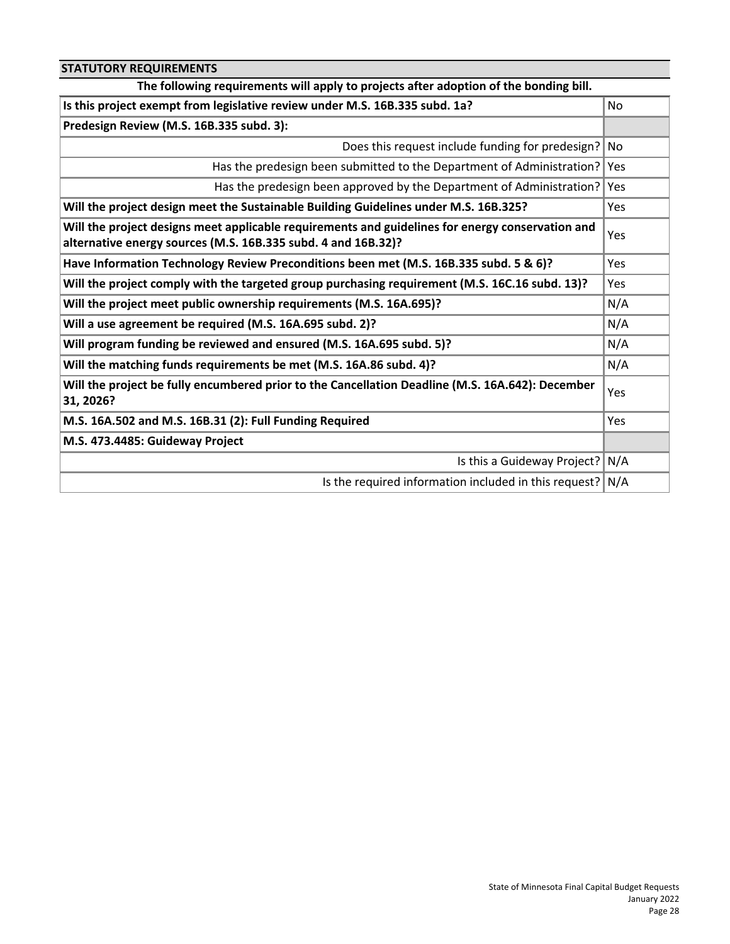| <b>STATUTORY REQUIREMENTS</b>                                                                                                                                     |            |
|-------------------------------------------------------------------------------------------------------------------------------------------------------------------|------------|
| The following requirements will apply to projects after adoption of the bonding bill.                                                                             |            |
| Is this project exempt from legislative review under M.S. 16B.335 subd. 1a?                                                                                       | No.        |
| Predesign Review (M.S. 16B.335 subd. 3):                                                                                                                          |            |
| Does this request include funding for predesign?                                                                                                                  | l No       |
| Has the predesign been submitted to the Department of Administration?                                                                                             | Yes        |
| Has the predesign been approved by the Department of Administration?                                                                                              | Yes        |
| Will the project design meet the Sustainable Building Guidelines under M.S. 16B.325?                                                                              | <b>Yes</b> |
| Will the project designs meet applicable requirements and guidelines for energy conservation and<br>alternative energy sources (M.S. 16B.335 subd. 4 and 16B.32)? | Yes        |
| Have Information Technology Review Preconditions been met (M.S. 16B.335 subd. 5 & 6)?                                                                             | Yes        |
| Will the project comply with the targeted group purchasing requirement (M.S. 16C.16 subd. 13)?                                                                    | Yes        |
| Will the project meet public ownership requirements (M.S. 16A.695)?                                                                                               | N/A        |
| Will a use agreement be required (M.S. 16A.695 subd. 2)?                                                                                                          | N/A        |
| Will program funding be reviewed and ensured (M.S. 16A.695 subd. 5)?                                                                                              | N/A        |
| Will the matching funds requirements be met (M.S. 16A.86 subd. 4)?                                                                                                | N/A        |
| Will the project be fully encumbered prior to the Cancellation Deadline (M.S. 16A.642): December<br>31, 2026?                                                     | Yes        |
| M.S. 16A.502 and M.S. 16B.31 (2): Full Funding Required                                                                                                           | Yes        |
| M.S. 473.4485: Guideway Project                                                                                                                                   |            |
| Is this a Guideway Project?                                                                                                                                       | N/A        |
| Is the required information included in this request? $N/A$                                                                                                       |            |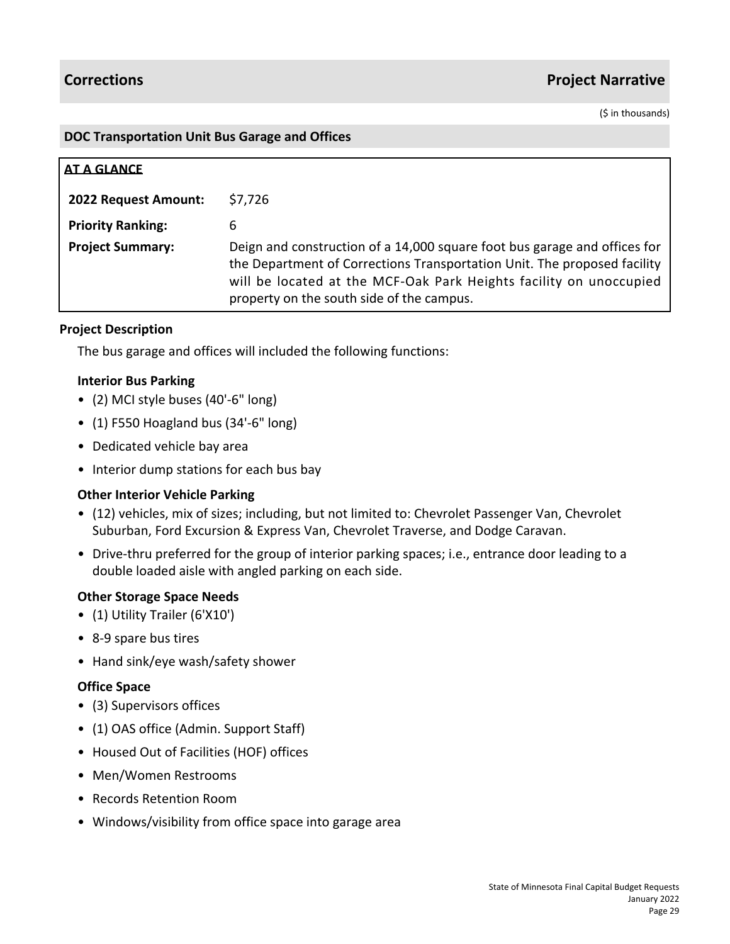# **Corrections Project Narrative**

(\$ in thousands)

### **DOC Transportation Unit Bus Garage and Offices**

| AT A GLANCE              |                                                                                                                                                                                                                                                                          |
|--------------------------|--------------------------------------------------------------------------------------------------------------------------------------------------------------------------------------------------------------------------------------------------------------------------|
| 2022 Request Amount:     | \$7,726                                                                                                                                                                                                                                                                  |
| <b>Priority Ranking:</b> | 6                                                                                                                                                                                                                                                                        |
| <b>Project Summary:</b>  | Deign and construction of a 14,000 square foot bus garage and offices for<br>the Department of Corrections Transportation Unit. The proposed facility<br>will be located at the MCF-Oak Park Heights facility on unoccupied<br>property on the south side of the campus. |

# **Project Description**

The bus garage and offices will included the following functions:

### **Interior Bus Parking**

- (2) MCI style buses (40'-6" long)
- (1) F550 Hoagland bus (34'-6" long)
- Dedicated vehicle bay area
- Interior dump stations for each bus bay

# **Other Interior Vehicle Parking**

- (12) vehicles, mix of sizes; including, but not limited to: Chevrolet Passenger Van, Chevrolet Suburban, Ford Excursion & Express Van, Chevrolet Traverse, and Dodge Caravan.
- Drive-thru preferred for the group of interior parking spaces; i.e., entrance door leading to a double loaded aisle with angled parking on each side.

# **Other Storage Space Needs**

- (1) Utility Trailer (6'X10')
- 8-9 spare bus tires
- Hand sink/eye wash/safety shower

#### **Office Space**

- (3) Supervisors offices
- (1) OAS office (Admin. Support Staff)
- Housed Out of Facilities (HOF) offices
- Men/Women Restrooms
- Records Retention Room
- Windows/visibility from office space into garage area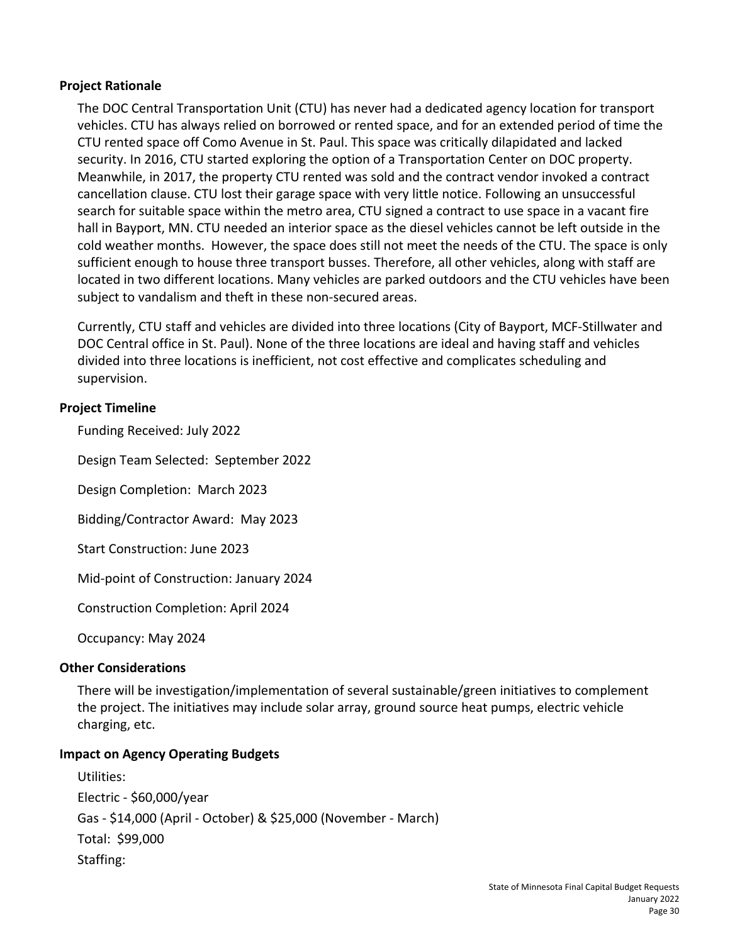# **Project Rationale**

The DOC Central Transportation Unit (CTU) has never had a dedicated agency location for transport vehicles. CTU has always relied on borrowed or rented space, and for an extended period of time the CTU rented space off Como Avenue in St. Paul. This space was critically dilapidated and lacked security. In 2016, CTU started exploring the option of a Transportation Center on DOC property. Meanwhile, in 2017, the property CTU rented was sold and the contract vendor invoked a contract cancellation clause. CTU lost their garage space with very little notice. Following an unsuccessful search for suitable space within the metro area, CTU signed a contract to use space in a vacant fire hall in Bayport, MN. CTU needed an interior space as the diesel vehicles cannot be left outside in the cold weather months. However, the space does still not meet the needs of the CTU. The space is only sufficient enough to house three transport busses. Therefore, all other vehicles, along with staff are located in two different locations. Many vehicles are parked outdoors and the CTU vehicles have been subject to vandalism and theft in these non-secured areas.

Currently, CTU staff and vehicles are divided into three locations (City of Bayport, MCF-Stillwater and DOC Central office in St. Paul). None of the three locations are ideal and having staff and vehicles divided into three locations is inefficient, not cost effective and complicates scheduling and supervision.

# **Project Timeline**

Funding Received: July 2022

Design Team Selected: September 2022

Design Completion: March 2023

Bidding/Contractor Award: May 2023

Start Construction: June 2023

Mid-point of Construction: January 2024

Construction Completion: April 2024

Occupancy: May 2024

# **Other Considerations**

There will be investigation/implementation of several sustainable/green initiatives to complement the project. The initiatives may include solar array, ground source heat pumps, electric vehicle charging, etc.

# **Impact on Agency Operating Budgets**

Utilities: Electric - \$60,000/year Gas - \$14,000 (April - October) & \$25,000 (November - March) Total: \$99,000 Staffing: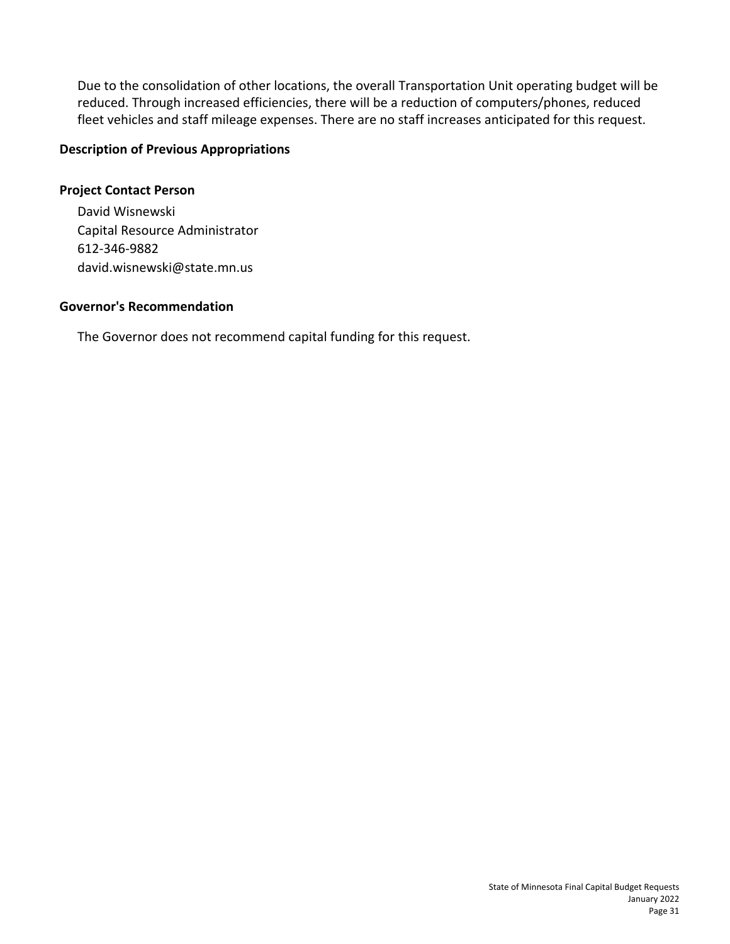Due to the consolidation of other locations, the overall Transportation Unit operating budget will be reduced. Through increased efficiencies, there will be a reduction of computers/phones, reduced fleet vehicles and staff mileage expenses. There are no staff increases anticipated for this request.

# **Description of Previous Appropriations**

# **Project Contact Person**

David Wisnewski Capital Resource Administrator 612-346-9882 david.wisnewski@state.mn.us

# **Governor's Recommendation**

The Governor does not recommend capital funding for this request.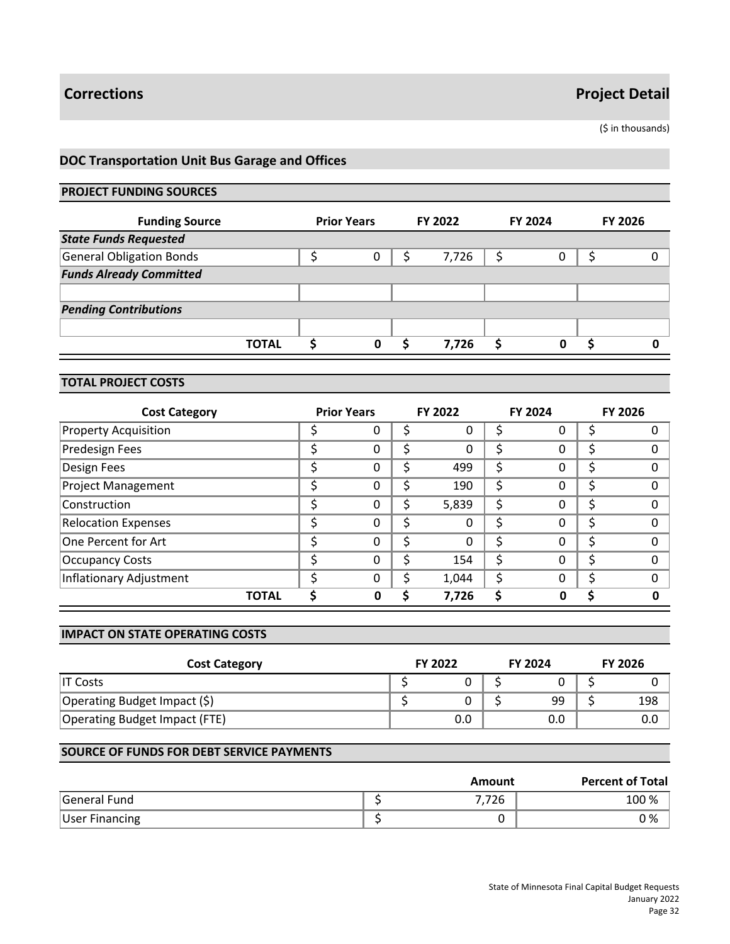(\$ in thousands)

# **DOC Transportation Unit Bus Garage and Offices**

### **PROJECT FUNDING SOURCES**

| <b>Funding Source</b>           | <b>Prior Years</b> |   | FY 2022 |       | <b>FY 2024</b> |   | <b>FY 2026</b> |  |
|---------------------------------|--------------------|---|---------|-------|----------------|---|----------------|--|
| <b>State Funds Requested</b>    |                    |   |         |       |                |   |                |  |
| <b>General Obligation Bonds</b> |                    | 0 |         | 7,726 |                |   |                |  |
| <b>Funds Already Committed</b>  |                    |   |         |       |                |   |                |  |
|                                 |                    |   |         |       |                |   |                |  |
| <b>Pending Contributions</b>    |                    |   |         |       |                |   |                |  |
|                                 |                    |   |         |       |                |   |                |  |
| <b>TOTAL</b>                    |                    | 0 |         | 7.726 |                | 0 |                |  |

# **TOTAL PROJECT COSTS**

| <b>Cost Category</b>        |   | <b>Prior Years</b> |    | FY 2022 |    | <b>FY 2024</b> | <b>FY 2026</b> |
|-----------------------------|---|--------------------|----|---------|----|----------------|----------------|
| <b>Property Acquisition</b> |   | O                  |    | 0       |    | 0              |                |
| <b>Predesign Fees</b>       |   | 0                  | \$ | 0       | Ś  | 0              |                |
| Design Fees                 | ◠ | 0                  | \$ | 499     | \$ | 0              |                |
| <b>Project Management</b>   |   | 0                  | \$ | 190     | \$ | 0              |                |
| Construction                | c | 0                  | \$ | 5,839   | Ś  | 0              |                |
| <b>Relocation Expenses</b>  |   | 0                  | \$ | 0       | S  | 0              |                |
| One Percent for Art         | ċ | 0                  | Ś  | 0       | Ś  | 0              | n              |
| <b>Occupancy Costs</b>      |   | 0                  | \$ | 154     | Ś  | 0              |                |
| Inflationary Adjustment     |   | $\Omega$           | \$ | 1,044   | Ś  | 0              | $\Omega$       |
| <b>TOTAL</b>                |   | Ω                  |    | 7,726   |    | Ω              |                |

#### **IMPACT ON STATE OPERATING COSTS**

| <b>Cost Category</b>          | <b>FY 2022</b> | <b>FY 2024</b> | <b>FY 2026</b> |
|-------------------------------|----------------|----------------|----------------|
| IT Costs                      |                |                |                |
| Operating Budget Impact (\$)  |                | 99             | 198            |
| Operating Budget Impact (FTE) | 0.0            | 0.0            | 0.0            |

|                       | Amount | <b>Percent of Total</b> |
|-----------------------|--------|-------------------------|
| General Fund          | 7,726  | 100 %                   |
| <b>User Financing</b> |        | 0 %                     |